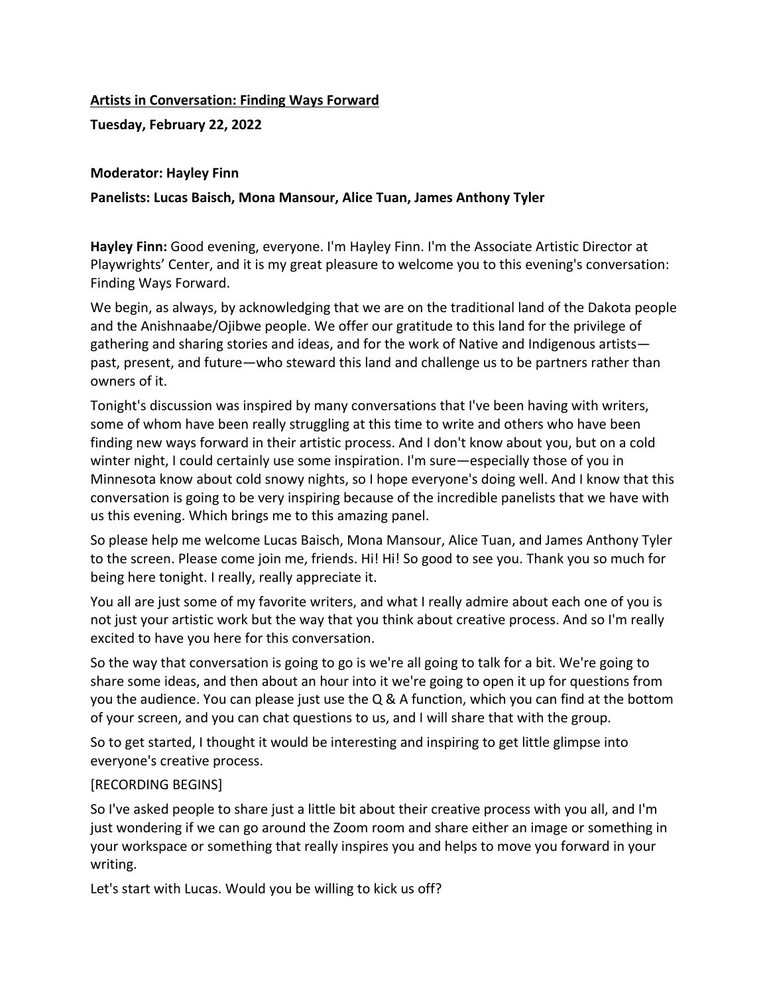#### **Artists in Conversation: Finding Ways Forward**

**Tuesday, February 22, 2022**

#### **Moderator: Hayley Finn**

#### **Panelists: Lucas Baisch, Mona Mansour, Alice Tuan, James Anthony Tyler**

**Hayley Finn:** Good evening, everyone. I'm Hayley Finn. I'm the Associate Artistic Director at Playwrights' Center, and it is my great pleasure to welcome you to this evening's conversation: Finding Ways Forward.

We begin, as always, by acknowledging that we are on the traditional land of the Dakota people and the Anishnaabe/Ojibwe people. We offer our gratitude to this land for the privilege of gathering and sharing stories and ideas, and for the work of Native and Indigenous artists past, present, and future—who steward this land and challenge us to be partners rather than owners of it.

Tonight's discussion was inspired by many conversations that I've been having with writers, some of whom have been really struggling at this time to write and others who have been finding new ways forward in their artistic process. And I don't know about you, but on a cold winter night, I could certainly use some inspiration. I'm sure—especially those of you in Minnesota know about cold snowy nights, so I hope everyone's doing well. And I know that this conversation is going to be very inspiring because of the incredible panelists that we have with us this evening. Which brings me to this amazing panel.

So please help me welcome Lucas Baisch, Mona Mansour, Alice Tuan, and James Anthony Tyler to the screen. Please come join me, friends. Hi! Hi! So good to see you. Thank you so much for being here tonight. I really, really appreciate it.

You all are just some of my favorite writers, and what I really admire about each one of you is not just your artistic work but the way that you think about creative process. And so I'm really excited to have you here for this conversation.

So the way that conversation is going to go is we're all going to talk for a bit. We're going to share some ideas, and then about an hour into it we're going to open it up for questions from you the audience. You can please just use the Q & A function, which you can find at the bottom of your screen, and you can chat questions to us, and I will share that with the group.

So to get started, I thought it would be interesting and inspiring to get little glimpse into everyone's creative process.

# [RECORDING BEGINS]

So I've asked people to share just a little bit about their creative process with you all, and I'm just wondering if we can go around the Zoom room and share either an image or something in your workspace or something that really inspires you and helps to move you forward in your writing.

Let's start with Lucas. Would you be willing to kick us off?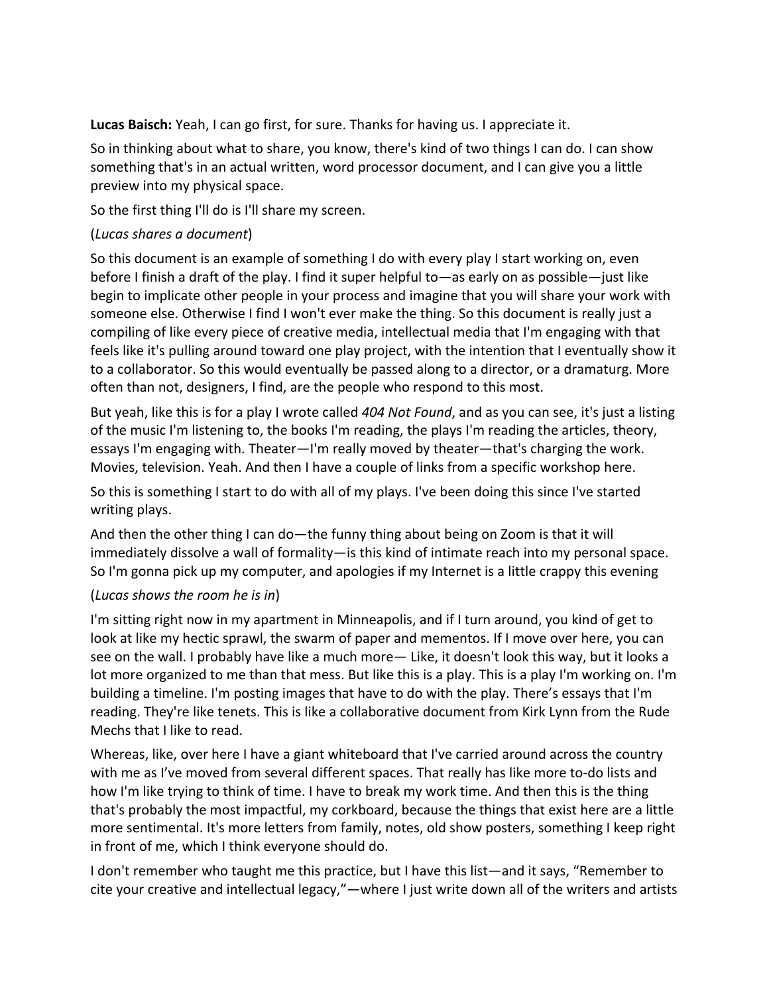**Lucas Baisch:** Yeah, I can go first, for sure. Thanks for having us. I appreciate it.

So in thinking about what to share, you know, there's kind of two things I can do. I can show something that's in an actual written, word processor document, and I can give you a little preview into my physical space.

So the first thing I'll do is I'll share my screen.

# (*Lucas shares a document*)

So this document is an example of something I do with every play I start working on, even before I finish a draft of the play. I find it super helpful to—as early on as possible—just like begin to implicate other people in your process and imagine that you will share your work with someone else. Otherwise I find I won't ever make the thing. So this document is really just a compiling of like every piece of creative media, intellectual media that I'm engaging with that feels like it's pulling around toward one play project, with the intention that I eventually show it to a collaborator. So this would eventually be passed along to a director, or a dramaturg. More often than not, designers, I find, are the people who respond to this most.

But yeah, like this is for a play I wrote called *404 Not Found*, and as you can see, it's just a listing of the music I'm listening to, the books I'm reading, the plays I'm reading the articles, theory, essays I'm engaging with. Theater—I'm really moved by theater—that's charging the work. Movies, television. Yeah. And then I have a couple of links from a specific workshop here.

So this is something I start to do with all of my plays. I've been doing this since I've started writing plays.

And then the other thing I can do—the funny thing about being on Zoom is that it will immediately dissolve a wall of formality—is this kind of intimate reach into my personal space. So I'm gonna pick up my computer, and apologies if my Internet is a little crappy this evening

# (*Lucas shows the room he is in*)

I'm sitting right now in my apartment in Minneapolis, and if I turn around, you kind of get to look at like my hectic sprawl, the swarm of paper and mementos. If I move over here, you can see on the wall. I probably have like a much more— Like, it doesn't look this way, but it looks a lot more organized to me than that mess. But like this is a play. This is a play I'm working on. I'm building a timeline. I'm posting images that have to do with the play. There's essays that I'm reading. They're like tenets. This is like a collaborative document from Kirk Lynn from the Rude Mechs that I like to read.

Whereas, like, over here I have a giant whiteboard that I've carried around across the country with me as I've moved from several different spaces. That really has like more to-do lists and how I'm like trying to think of time. I have to break my work time. And then this is the thing that's probably the most impactful, my corkboard, because the things that exist here are a little more sentimental. It's more letters from family, notes, old show posters, something I keep right in front of me, which I think everyone should do.

I don't remember who taught me this practice, but I have this list—and it says, "Remember to cite your creative and intellectual legacy,"—where I just write down all of the writers and artists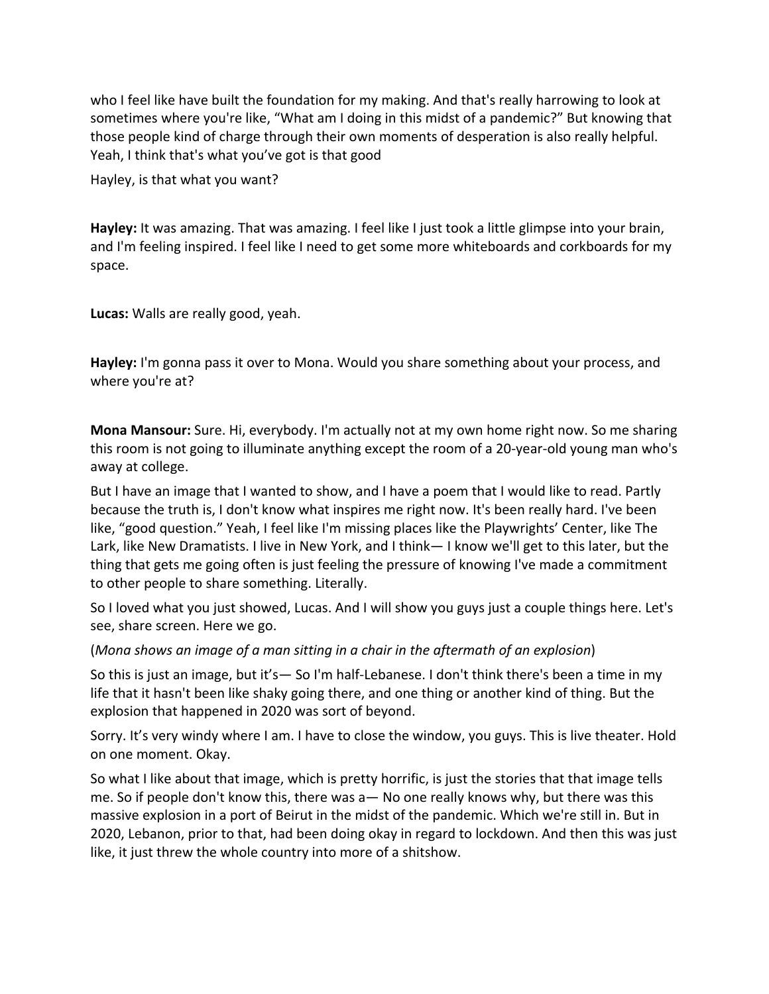who I feel like have built the foundation for my making. And that's really harrowing to look at sometimes where you're like, "What am I doing in this midst of a pandemic?" But knowing that those people kind of charge through their own moments of desperation is also really helpful. Yeah, I think that's what you've got is that good

Hayley, is that what you want?

**Hayley:** It was amazing. That was amazing. I feel like I just took a little glimpse into your brain, and I'm feeling inspired. I feel like I need to get some more whiteboards and corkboards for my space.

**Lucas:** Walls are really good, yeah.

**Hayley:** I'm gonna pass it over to Mona. Would you share something about your process, and where you're at?

**Mona Mansour:** Sure. Hi, everybody. I'm actually not at my own home right now. So me sharing this room is not going to illuminate anything except the room of a 20-year-old young man who's away at college.

But I have an image that I wanted to show, and I have a poem that I would like to read. Partly because the truth is, I don't know what inspires me right now. It's been really hard. I've been like, "good question." Yeah, I feel like I'm missing places like the Playwrights' Center, like The Lark, like New Dramatists. I live in New York, and I think— I know we'll get to this later, but the thing that gets me going often is just feeling the pressure of knowing I've made a commitment to other people to share something. Literally.

So I loved what you just showed, Lucas. And I will show you guys just a couple things here. Let's see, share screen. Here we go.

(*Mona shows an image of a man sitting in a chair in the aftermath of an explosion*)

So this is just an image, but it's— So I'm half-Lebanese. I don't think there's been a time in my life that it hasn't been like shaky going there, and one thing or another kind of thing. But the explosion that happened in 2020 was sort of beyond.

Sorry. It's very windy where I am. I have to close the window, you guys. This is live theater. Hold on one moment. Okay.

So what I like about that image, which is pretty horrific, is just the stories that that image tells me. So if people don't know this, there was a— No one really knows why, but there was this massive explosion in a port of Beirut in the midst of the pandemic. Which we're still in. But in 2020, Lebanon, prior to that, had been doing okay in regard to lockdown. And then this was just like, it just threw the whole country into more of a shitshow.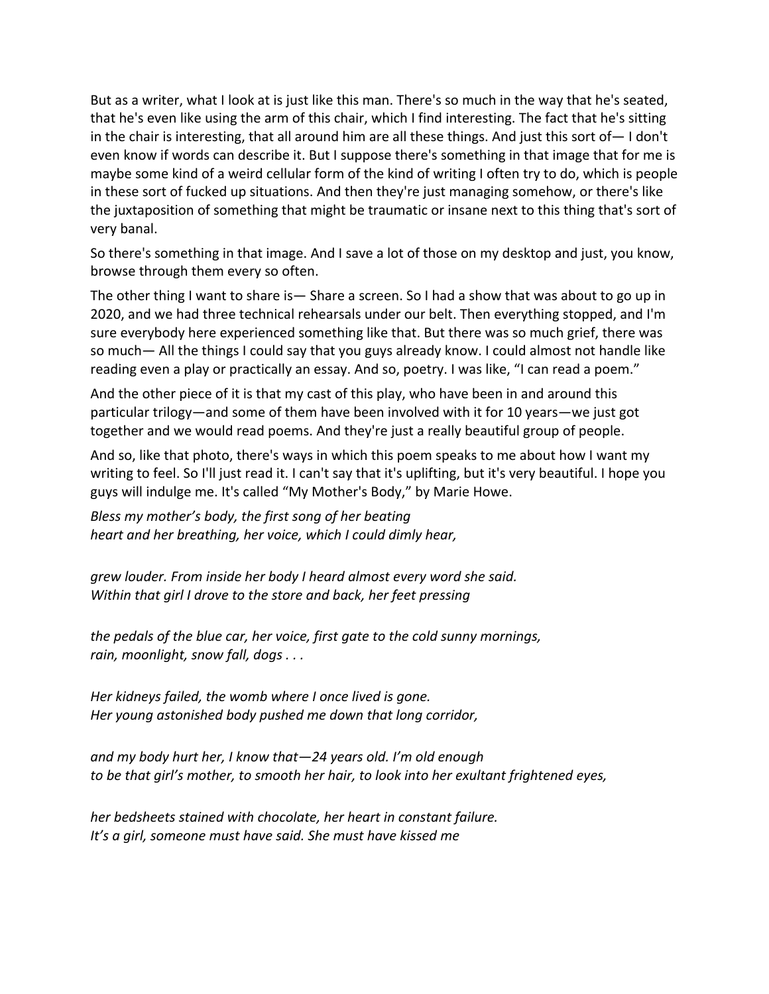But as a writer, what I look at is just like this man. There's so much in the way that he's seated, that he's even like using the arm of this chair, which I find interesting. The fact that he's sitting in the chair is interesting, that all around him are all these things. And just this sort of— I don't even know if words can describe it. But I suppose there's something in that image that for me is maybe some kind of a weird cellular form of the kind of writing I often try to do, which is people in these sort of fucked up situations. And then they're just managing somehow, or there's like the juxtaposition of something that might be traumatic or insane next to this thing that's sort of very banal.

So there's something in that image. And I save a lot of those on my desktop and just, you know, browse through them every so often.

The other thing I want to share is— Share a screen. So I had a show that was about to go up in 2020, and we had three technical rehearsals under our belt. Then everything stopped, and I'm sure everybody here experienced something like that. But there was so much grief, there was so much— All the things I could say that you guys already know. I could almost not handle like reading even a play or practically an essay. And so, poetry. I was like, "I can read a poem."

And the other piece of it is that my cast of this play, who have been in and around this particular trilogy—and some of them have been involved with it for 10 years—we just got together and we would read poems. And they're just a really beautiful group of people.

And so, like that photo, there's ways in which this poem speaks to me about how I want my writing to feel. So I'll just read it. I can't say that it's uplifting, but it's very beautiful. I hope you guys will indulge me. It's called "My Mother's Body," by Marie Howe.

*Bless my mother's body, the first song of her beating heart and her breathing, her voice, which I could dimly hear,*

*grew louder. From inside her body I heard almost every word she said. Within that girl I drove to the store and back, her feet pressing*

*the pedals of the blue car, her voice, first gate to the cold sunny mornings, rain, moonlight, snow fall, dogs . . .*

*Her kidneys failed, the womb where I once lived is gone. Her young astonished body pushed me down that long corridor,*

*and my body hurt her, I know that—24 years old. I'm old enough to be that girl's mother, to smooth her hair, to look into her exultant frightened eyes,*

*her bedsheets stained with chocolate, her heart in constant failure. It's a girl, someone must have said. She must have kissed me*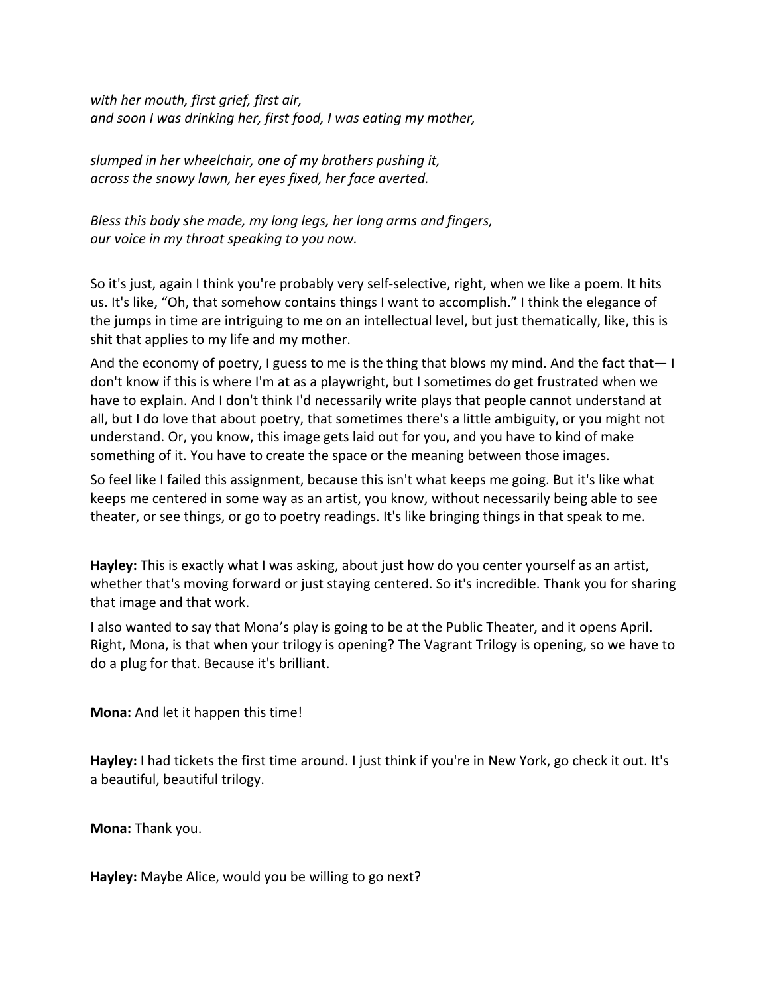*with her mouth, first grief, first air, and soon I was drinking her, first food, I was eating my mother,*

*slumped in her wheelchair, one of my brothers pushing it, across the snowy lawn, her eyes fixed, her face averted.*

*Bless this body she made, my long legs, her long arms and fingers, our voice in my throat speaking to you now.*

So it's just, again I think you're probably very self-selective, right, when we like a poem. It hits us. It's like, "Oh, that somehow contains things I want to accomplish." I think the elegance of the jumps in time are intriguing to me on an intellectual level, but just thematically, like, this is shit that applies to my life and my mother.

And the economy of poetry, I guess to me is the thing that blows my mind. And the fact that  $-1$ don't know if this is where I'm at as a playwright, but I sometimes do get frustrated when we have to explain. And I don't think I'd necessarily write plays that people cannot understand at all, but I do love that about poetry, that sometimes there's a little ambiguity, or you might not understand. Or, you know, this image gets laid out for you, and you have to kind of make something of it. You have to create the space or the meaning between those images.

So feel like I failed this assignment, because this isn't what keeps me going. But it's like what keeps me centered in some way as an artist, you know, without necessarily being able to see theater, or see things, or go to poetry readings. It's like bringing things in that speak to me.

**Hayley:** This is exactly what I was asking, about just how do you center yourself as an artist, whether that's moving forward or just staying centered. So it's incredible. Thank you for sharing that image and that work.

I also wanted to say that Mona's play is going to be at the Public Theater, and it opens April. Right, Mona, is that when your trilogy is opening? The Vagrant Trilogy is opening, so we have to do a plug for that. Because it's brilliant.

**Mona:** And let it happen this time!

**Hayley:** I had tickets the first time around. I just think if you're in New York, go check it out. It's a beautiful, beautiful trilogy.

**Mona:** Thank you.

**Hayley:** Maybe Alice, would you be willing to go next?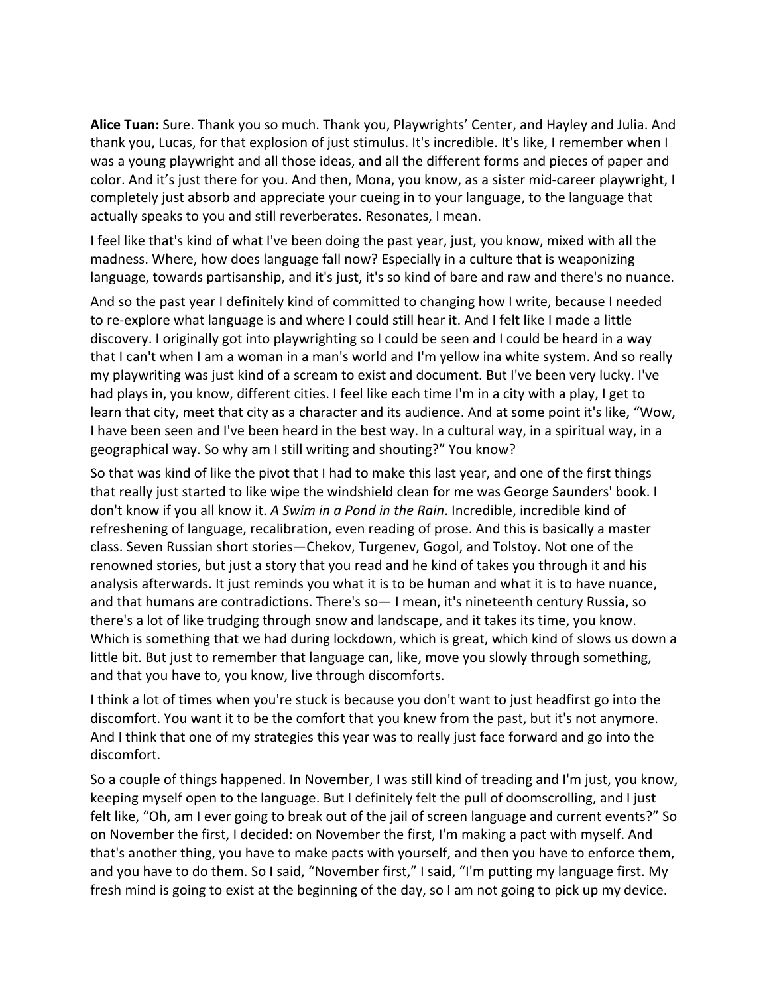**Alice Tuan:** Sure. Thank you so much. Thank you, Playwrights' Center, and Hayley and Julia. And thank you, Lucas, for that explosion of just stimulus. It's incredible. It's like, I remember when I was a young playwright and all those ideas, and all the different forms and pieces of paper and color. And it's just there for you. And then, Mona, you know, as a sister mid-career playwright, I completely just absorb and appreciate your cueing in to your language, to the language that actually speaks to you and still reverberates. Resonates, I mean.

I feel like that's kind of what I've been doing the past year, just, you know, mixed with all the madness. Where, how does language fall now? Especially in a culture that is weaponizing language, towards partisanship, and it's just, it's so kind of bare and raw and there's no nuance.

And so the past year I definitely kind of committed to changing how I write, because I needed to re-explore what language is and where I could still hear it. And I felt like I made a little discovery. I originally got into playwrighting so I could be seen and I could be heard in a way that I can't when I am a woman in a man's world and I'm yellow ina white system. And so really my playwriting was just kind of a scream to exist and document. But I've been very lucky. I've had plays in, you know, different cities. I feel like each time I'm in a city with a play, I get to learn that city, meet that city as a character and its audience. And at some point it's like, "Wow, I have been seen and I've been heard in the best way. In a cultural way, in a spiritual way, in a geographical way. So why am I still writing and shouting?" You know?

So that was kind of like the pivot that I had to make this last year, and one of the first things that really just started to like wipe the windshield clean for me was George Saunders' book. I don't know if you all know it. *A Swim in a Pond in the Rain*. Incredible, incredible kind of refreshening of language, recalibration, even reading of prose. And this is basically a master class. Seven Russian short stories—Chekov, Turgenev, Gogol, and Tolstoy. Not one of the renowned stories, but just a story that you read and he kind of takes you through it and his analysis afterwards. It just reminds you what it is to be human and what it is to have nuance, and that humans are contradictions. There's so— I mean, it's nineteenth century Russia, so there's a lot of like trudging through snow and landscape, and it takes its time, you know. Which is something that we had during lockdown, which is great, which kind of slows us down a little bit. But just to remember that language can, like, move you slowly through something, and that you have to, you know, live through discomforts.

I think a lot of times when you're stuck is because you don't want to just headfirst go into the discomfort. You want it to be the comfort that you knew from the past, but it's not anymore. And I think that one of my strategies this year was to really just face forward and go into the discomfort.

So a couple of things happened. In November, I was still kind of treading and I'm just, you know, keeping myself open to the language. But I definitely felt the pull of doomscrolling, and I just felt like, "Oh, am I ever going to break out of the jail of screen language and current events?" So on November the first, I decided: on November the first, I'm making a pact with myself. And that's another thing, you have to make pacts with yourself, and then you have to enforce them, and you have to do them. So I said, "November first," I said, "I'm putting my language first. My fresh mind is going to exist at the beginning of the day, so I am not going to pick up my device.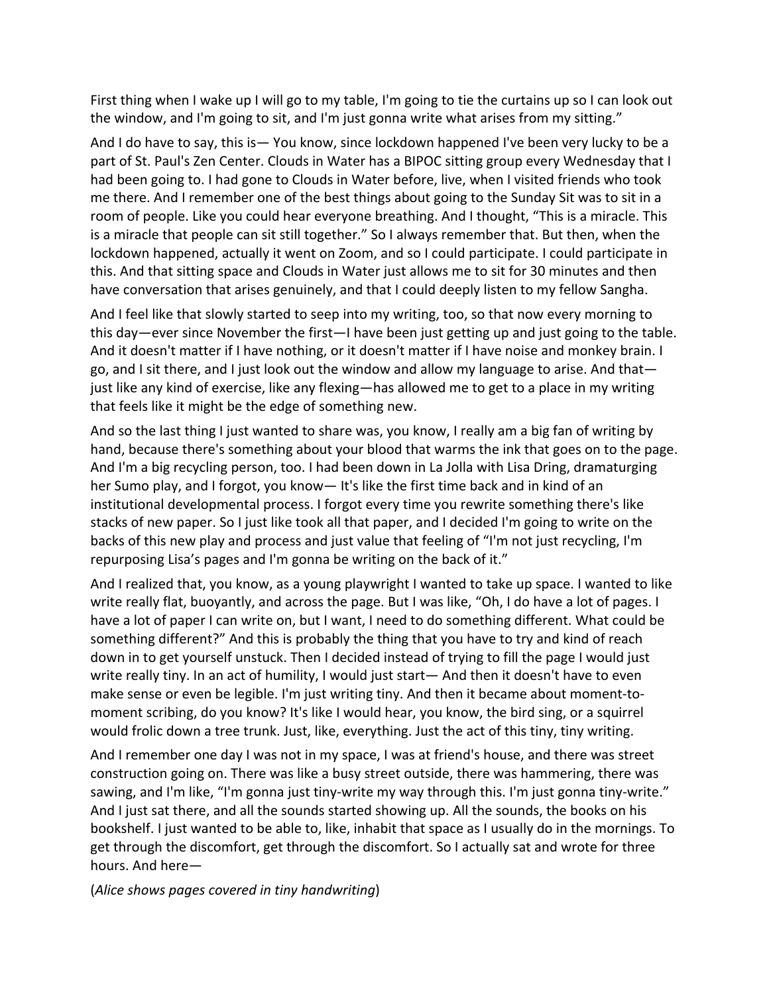First thing when I wake up I will go to my table, I'm going to tie the curtains up so I can look out the window, and I'm going to sit, and I'm just gonna write what arises from my sitting."

And I do have to say, this is— You know, since lockdown happened I've been very lucky to be a part of St. Paul's Zen Center. Clouds in Water has a BIPOC sitting group every Wednesday that I had been going to. I had gone to Clouds in Water before, live, when I visited friends who took me there. And I remember one of the best things about going to the Sunday Sit was to sit in a room of people. Like you could hear everyone breathing. And I thought, "This is a miracle. This is a miracle that people can sit still together." So I always remember that. But then, when the lockdown happened, actually it went on Zoom, and so I could participate. I could participate in this. And that sitting space and Clouds in Water just allows me to sit for 30 minutes and then have conversation that arises genuinely, and that I could deeply listen to my fellow Sangha.

And I feel like that slowly started to seep into my writing, too, so that now every morning to this day—ever since November the first—I have been just getting up and just going to the table. And it doesn't matter if I have nothing, or it doesn't matter if I have noise and monkey brain. I go, and I sit there, and I just look out the window and allow my language to arise. And that just like any kind of exercise, like any flexing—has allowed me to get to a place in my writing that feels like it might be the edge of something new.

And so the last thing I just wanted to share was, you know, I really am a big fan of writing by hand, because there's something about your blood that warms the ink that goes on to the page. And I'm a big recycling person, too. I had been down in La Jolla with Lisa Dring, dramaturging her Sumo play, and I forgot, you know— It's like the first time back and in kind of an institutional developmental process. I forgot every time you rewrite something there's like stacks of new paper. So I just like took all that paper, and I decided I'm going to write on the backs of this new play and process and just value that feeling of "I'm not just recycling, I'm repurposing Lisa's pages and I'm gonna be writing on the back of it."

And I realized that, you know, as a young playwright I wanted to take up space. I wanted to like write really flat, buoyantly, and across the page. But I was like, "Oh, I do have a lot of pages. I have a lot of paper I can write on, but I want, I need to do something different. What could be something different?" And this is probably the thing that you have to try and kind of reach down in to get yourself unstuck. Then I decided instead of trying to fill the page I would just write really tiny. In an act of humility, I would just start— And then it doesn't have to even make sense or even be legible. I'm just writing tiny. And then it became about moment-tomoment scribing, do you know? It's like I would hear, you know, the bird sing, or a squirrel would frolic down a tree trunk. Just, like, everything. Just the act of this tiny, tiny writing.

And I remember one day I was not in my space, I was at friend's house, and there was street construction going on. There was like a busy street outside, there was hammering, there was sawing, and I'm like, "I'm gonna just tiny-write my way through this. I'm just gonna tiny-write." And I just sat there, and all the sounds started showing up. All the sounds, the books on his bookshelf. I just wanted to be able to, like, inhabit that space as I usually do in the mornings. To get through the discomfort, get through the discomfort. So I actually sat and wrote for three hours. And here—

(*Alice shows pages covered in tiny handwriting*)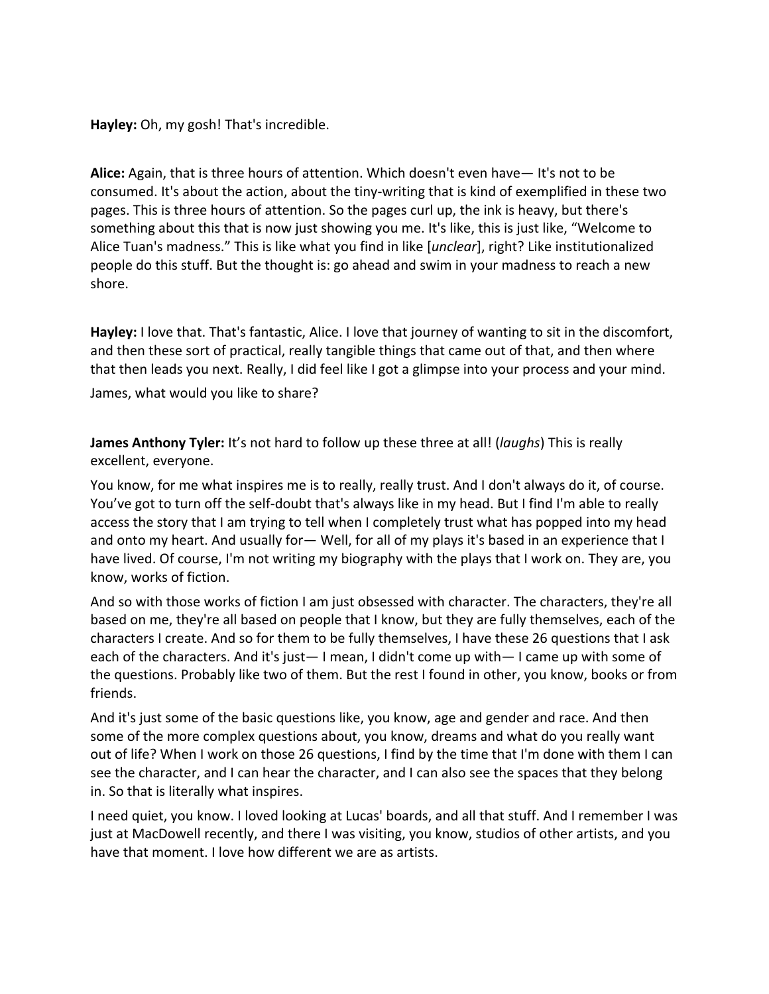**Hayley:** Oh, my gosh! That's incredible.

**Alice:** Again, that is three hours of attention. Which doesn't even have— It's not to be consumed. It's about the action, about the tiny-writing that is kind of exemplified in these two pages. This is three hours of attention. So the pages curl up, the ink is heavy, but there's something about this that is now just showing you me. It's like, this is just like, "Welcome to Alice Tuan's madness." This is like what you find in like [*unclear*], right? Like institutionalized people do this stuff. But the thought is: go ahead and swim in your madness to reach a new shore.

**Hayley:** I love that. That's fantastic, Alice. I love that journey of wanting to sit in the discomfort, and then these sort of practical, really tangible things that came out of that, and then where that then leads you next. Really, I did feel like I got a glimpse into your process and your mind.

James, what would you like to share?

**James Anthony Tyler:** It's not hard to follow up these three at all! (*laughs*) This is really excellent, everyone.

You know, for me what inspires me is to really, really trust. And I don't always do it, of course. You've got to turn off the self-doubt that's always like in my head. But I find I'm able to really access the story that I am trying to tell when I completely trust what has popped into my head and onto my heart. And usually for — Well, for all of my plays it's based in an experience that I have lived. Of course, I'm not writing my biography with the plays that I work on. They are, you know, works of fiction.

And so with those works of fiction I am just obsessed with character. The characters, they're all based on me, they're all based on people that I know, but they are fully themselves, each of the characters I create. And so for them to be fully themselves, I have these 26 questions that I ask each of the characters. And it's just— I mean, I didn't come up with— I came up with some of the questions. Probably like two of them. But the rest I found in other, you know, books or from friends.

And it's just some of the basic questions like, you know, age and gender and race. And then some of the more complex questions about, you know, dreams and what do you really want out of life? When I work on those 26 questions, I find by the time that I'm done with them I can see the character, and I can hear the character, and I can also see the spaces that they belong in. So that is literally what inspires.

I need quiet, you know. I loved looking at Lucas' boards, and all that stuff. And I remember I was just at MacDowell recently, and there I was visiting, you know, studios of other artists, and you have that moment. I love how different we are as artists.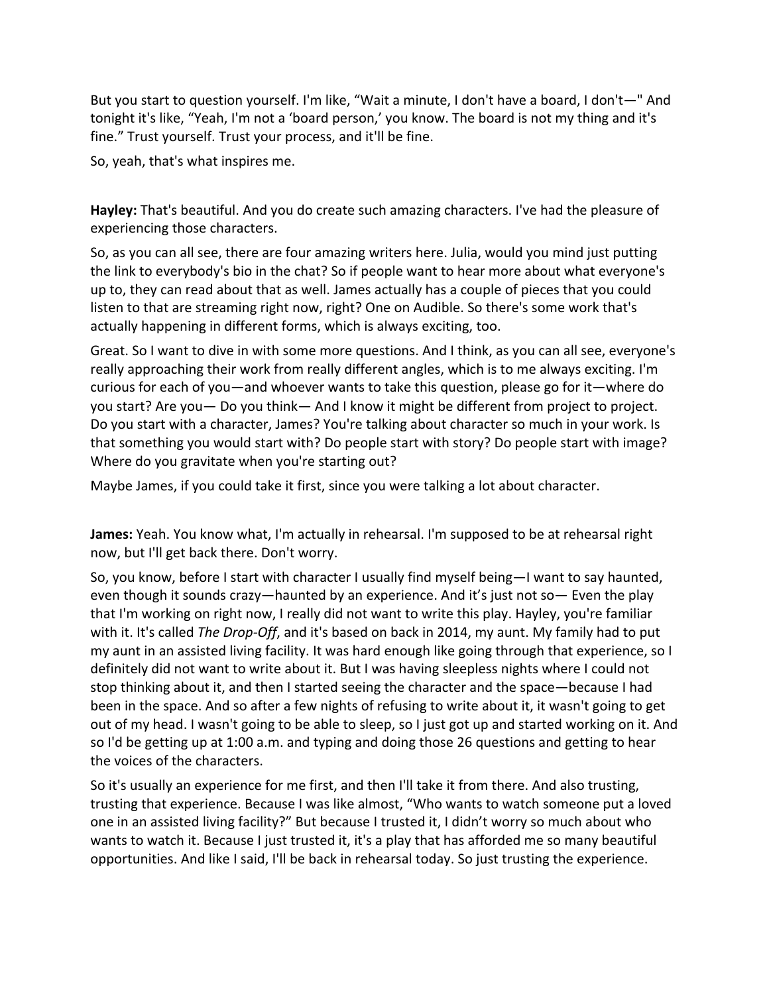But you start to question yourself. I'm like, "Wait a minute, I don't have a board, I don't—" And tonight it's like, "Yeah, I'm not a 'board person,' you know. The board is not my thing and it's fine." Trust yourself. Trust your process, and it'll be fine.

So, yeah, that's what inspires me.

**Hayley:** That's beautiful. And you do create such amazing characters. I've had the pleasure of experiencing those characters.

So, as you can all see, there are four amazing writers here. Julia, would you mind just putting the link to everybody's bio in the chat? So if people want to hear more about what everyone's up to, they can read about that as well. James actually has a couple of pieces that you could listen to that are streaming right now, right? One on Audible. So there's some work that's actually happening in different forms, which is always exciting, too.

Great. So I want to dive in with some more questions. And I think, as you can all see, everyone's really approaching their work from really different angles, which is to me always exciting. I'm curious for each of you—and whoever wants to take this question, please go for it—where do you start? Are you— Do you think— And I know it might be different from project to project. Do you start with a character, James? You're talking about character so much in your work. Is that something you would start with? Do people start with story? Do people start with image? Where do you gravitate when you're starting out?

Maybe James, if you could take it first, since you were talking a lot about character.

**James:** Yeah. You know what, I'm actually in rehearsal. I'm supposed to be at rehearsal right now, but I'll get back there. Don't worry.

So, you know, before I start with character I usually find myself being—I want to say haunted, even though it sounds crazy—haunted by an experience. And it's just not so— Even the play that I'm working on right now, I really did not want to write this play. Hayley, you're familiar with it. It's called *The Drop-Off*, and it's based on back in 2014, my aunt. My family had to put my aunt in an assisted living facility. It was hard enough like going through that experience, so I definitely did not want to write about it. But I was having sleepless nights where I could not stop thinking about it, and then I started seeing the character and the space—because I had been in the space. And so after a few nights of refusing to write about it, it wasn't going to get out of my head. I wasn't going to be able to sleep, so I just got up and started working on it. And so I'd be getting up at 1:00 a.m. and typing and doing those 26 questions and getting to hear the voices of the characters.

So it's usually an experience for me first, and then I'll take it from there. And also trusting, trusting that experience. Because I was like almost, "Who wants to watch someone put a loved one in an assisted living facility?" But because I trusted it, I didn't worry so much about who wants to watch it. Because I just trusted it, it's a play that has afforded me so many beautiful opportunities. And like I said, I'll be back in rehearsal today. So just trusting the experience.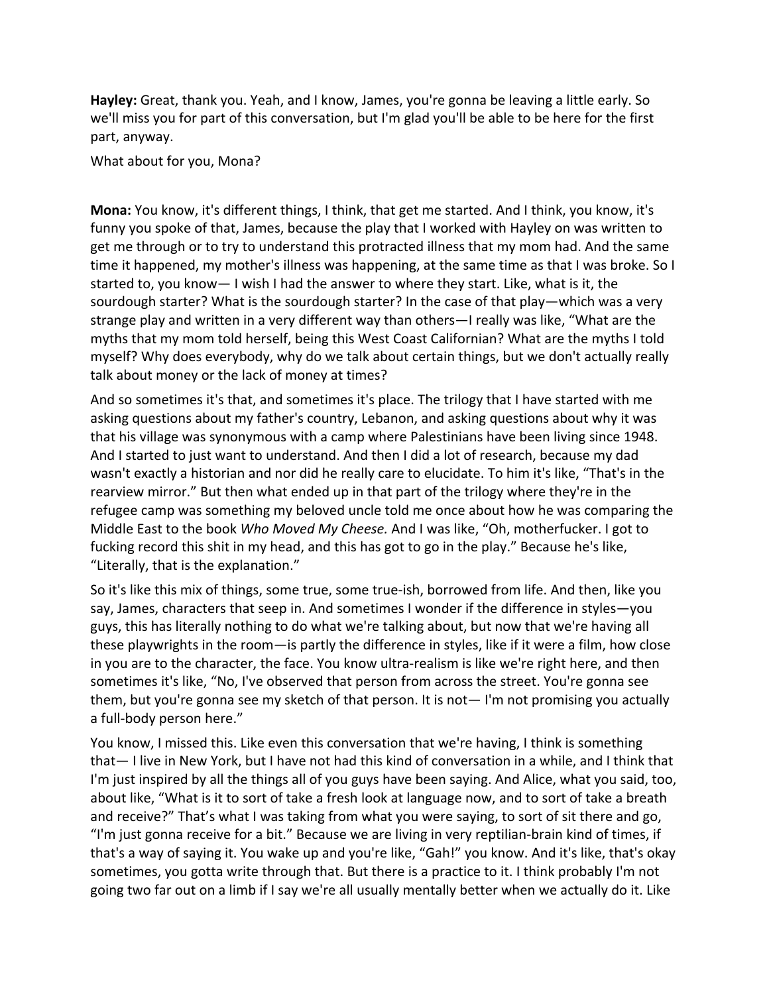**Hayley:** Great, thank you. Yeah, and I know, James, you're gonna be leaving a little early. So we'll miss you for part of this conversation, but I'm glad you'll be able to be here for the first part, anyway.

What about for you, Mona?

**Mona:** You know, it's different things, I think, that get me started. And I think, you know, it's funny you spoke of that, James, because the play that I worked with Hayley on was written to get me through or to try to understand this protracted illness that my mom had. And the same time it happened, my mother's illness was happening, at the same time as that I was broke. So I started to, you know— I wish I had the answer to where they start. Like, what is it, the sourdough starter? What is the sourdough starter? In the case of that play—which was a very strange play and written in a very different way than others—I really was like, "What are the myths that my mom told herself, being this West Coast Californian? What are the myths I told myself? Why does everybody, why do we talk about certain things, but we don't actually really talk about money or the lack of money at times?

And so sometimes it's that, and sometimes it's place. The trilogy that I have started with me asking questions about my father's country, Lebanon, and asking questions about why it was that his village was synonymous with a camp where Palestinians have been living since 1948. And I started to just want to understand. And then I did a lot of research, because my dad wasn't exactly a historian and nor did he really care to elucidate. To him it's like, "That's in the rearview mirror." But then what ended up in that part of the trilogy where they're in the refugee camp was something my beloved uncle told me once about how he was comparing the Middle East to the book *Who Moved My Cheese.* And I was like, "Oh, motherfucker. I got to fucking record this shit in my head, and this has got to go in the play." Because he's like, "Literally, that is the explanation."

So it's like this mix of things, some true, some true-ish, borrowed from life. And then, like you say, James, characters that seep in. And sometimes I wonder if the difference in styles—you guys, this has literally nothing to do what we're talking about, but now that we're having all these playwrights in the room—is partly the difference in styles, like if it were a film, how close in you are to the character, the face. You know ultra-realism is like we're right here, and then sometimes it's like, "No, I've observed that person from across the street. You're gonna see them, but you're gonna see my sketch of that person. It is not— I'm not promising you actually a full-body person here."

You know, I missed this. Like even this conversation that we're having, I think is something that— I live in New York, but I have not had this kind of conversation in a while, and I think that I'm just inspired by all the things all of you guys have been saying. And Alice, what you said, too, about like, "What is it to sort of take a fresh look at language now, and to sort of take a breath and receive?" That's what I was taking from what you were saying, to sort of sit there and go, "I'm just gonna receive for a bit." Because we are living in very reptilian-brain kind of times, if that's a way of saying it. You wake up and you're like, "Gah!" you know. And it's like, that's okay sometimes, you gotta write through that. But there is a practice to it. I think probably I'm not going two far out on a limb if I say we're all usually mentally better when we actually do it. Like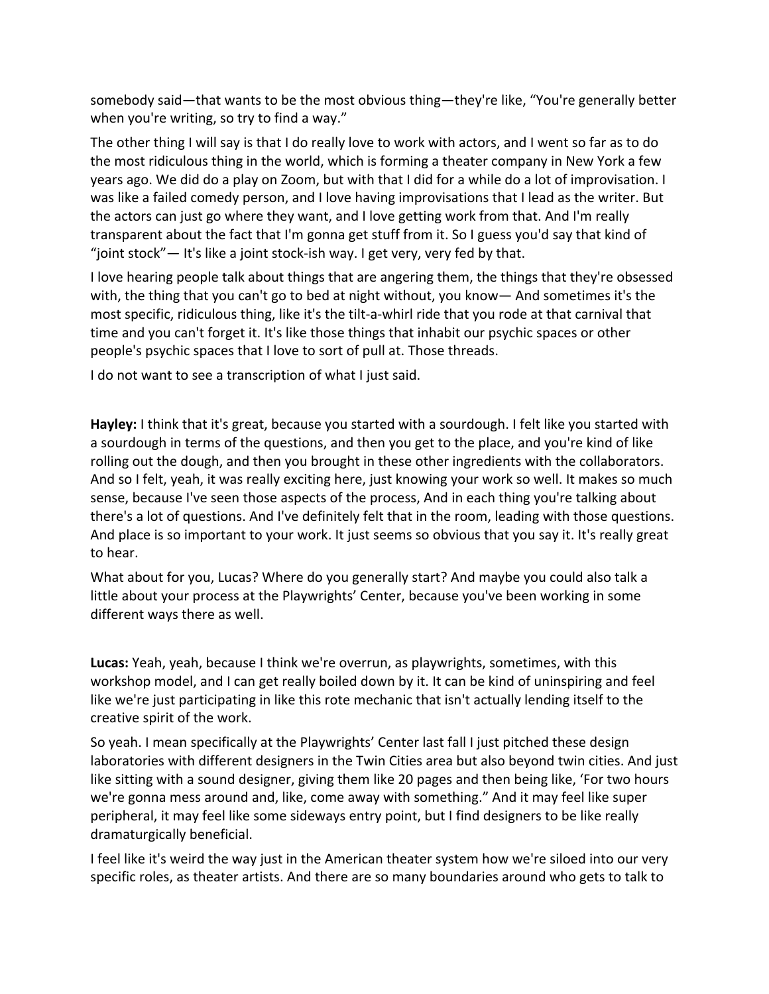somebody said—that wants to be the most obvious thing—they're like, "You're generally better when you're writing, so try to find a way."

The other thing I will say is that I do really love to work with actors, and I went so far as to do the most ridiculous thing in the world, which is forming a theater company in New York a few years ago. We did do a play on Zoom, but with that I did for a while do a lot of improvisation. I was like a failed comedy person, and I love having improvisations that I lead as the writer. But the actors can just go where they want, and I love getting work from that. And I'm really transparent about the fact that I'm gonna get stuff from it. So I guess you'd say that kind of "joint stock"— It's like a joint stock-ish way. I get very, very fed by that.

I love hearing people talk about things that are angering them, the things that they're obsessed with, the thing that you can't go to bed at night without, you know— And sometimes it's the most specific, ridiculous thing, like it's the tilt-a-whirl ride that you rode at that carnival that time and you can't forget it. It's like those things that inhabit our psychic spaces or other people's psychic spaces that I love to sort of pull at. Those threads.

I do not want to see a transcription of what I just said.

**Hayley:** I think that it's great, because you started with a sourdough. I felt like you started with a sourdough in terms of the questions, and then you get to the place, and you're kind of like rolling out the dough, and then you brought in these other ingredients with the collaborators. And so I felt, yeah, it was really exciting here, just knowing your work so well. It makes so much sense, because I've seen those aspects of the process, And in each thing you're talking about there's a lot of questions. And I've definitely felt that in the room, leading with those questions. And place is so important to your work. It just seems so obvious that you say it. It's really great to hear.

What about for you, Lucas? Where do you generally start? And maybe you could also talk a little about your process at the Playwrights' Center, because you've been working in some different ways there as well.

**Lucas:** Yeah, yeah, because I think we're overrun, as playwrights, sometimes, with this workshop model, and I can get really boiled down by it. It can be kind of uninspiring and feel like we're just participating in like this rote mechanic that isn't actually lending itself to the creative spirit of the work.

So yeah. I mean specifically at the Playwrights' Center last fall I just pitched these design laboratories with different designers in the Twin Cities area but also beyond twin cities. And just like sitting with a sound designer, giving them like 20 pages and then being like, 'For two hours we're gonna mess around and, like, come away with something." And it may feel like super peripheral, it may feel like some sideways entry point, but I find designers to be like really dramaturgically beneficial.

I feel like it's weird the way just in the American theater system how we're siloed into our very specific roles, as theater artists. And there are so many boundaries around who gets to talk to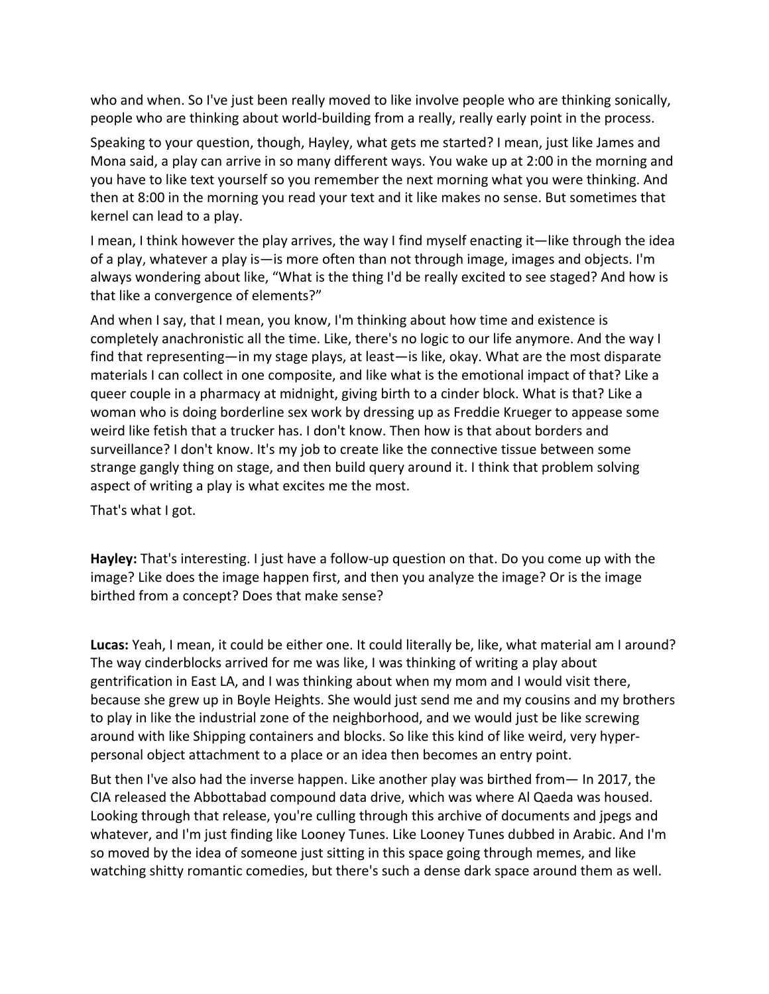who and when. So I've just been really moved to like involve people who are thinking sonically, people who are thinking about world-building from a really, really early point in the process.

Speaking to your question, though, Hayley, what gets me started? I mean, just like James and Mona said, a play can arrive in so many different ways. You wake up at 2:00 in the morning and you have to like text yourself so you remember the next morning what you were thinking. And then at 8:00 in the morning you read your text and it like makes no sense. But sometimes that kernel can lead to a play.

I mean, I think however the play arrives, the way I find myself enacting it—like through the idea of a play, whatever a play is—is more often than not through image, images and objects. I'm always wondering about like, "What is the thing I'd be really excited to see staged? And how is that like a convergence of elements?"

And when I say, that I mean, you know, I'm thinking about how time and existence is completely anachronistic all the time. Like, there's no logic to our life anymore. And the way I find that representing—in my stage plays, at least—is like, okay. What are the most disparate materials I can collect in one composite, and like what is the emotional impact of that? Like a queer couple in a pharmacy at midnight, giving birth to a cinder block. What is that? Like a woman who is doing borderline sex work by dressing up as Freddie Krueger to appease some weird like fetish that a trucker has. I don't know. Then how is that about borders and surveillance? I don't know. It's my job to create like the connective tissue between some strange gangly thing on stage, and then build query around it. I think that problem solving aspect of writing a play is what excites me the most.

That's what I got.

**Hayley:** That's interesting. I just have a follow-up question on that. Do you come up with the image? Like does the image happen first, and then you analyze the image? Or is the image birthed from a concept? Does that make sense?

**Lucas:** Yeah, I mean, it could be either one. It could literally be, like, what material am I around? The way cinderblocks arrived for me was like, I was thinking of writing a play about gentrification in East LA, and I was thinking about when my mom and I would visit there, because she grew up in Boyle Heights. She would just send me and my cousins and my brothers to play in like the industrial zone of the neighborhood, and we would just be like screwing around with like Shipping containers and blocks. So like this kind of like weird, very hyperpersonal object attachment to a place or an idea then becomes an entry point.

But then I've also had the inverse happen. Like another play was birthed from— In 2017, the CIA released the Abbottabad compound data drive, which was where Al Qaeda was housed. Looking through that release, you're culling through this archive of documents and jpegs and whatever, and I'm just finding like Looney Tunes. Like Looney Tunes dubbed in Arabic. And I'm so moved by the idea of someone just sitting in this space going through memes, and like watching shitty romantic comedies, but there's such a dense dark space around them as well.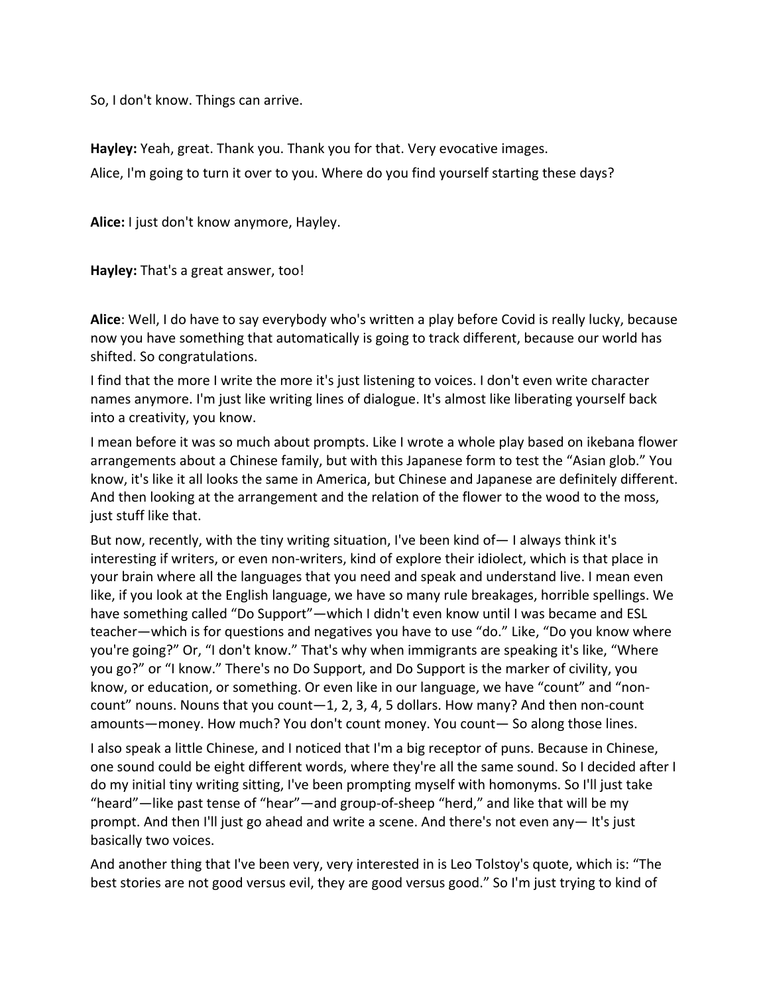So, I don't know. Things can arrive.

**Hayley:** Yeah, great. Thank you. Thank you for that. Very evocative images. Alice, I'm going to turn it over to you. Where do you find yourself starting these days?

**Alice:** I just don't know anymore, Hayley.

**Hayley:** That's a great answer, too!

**Alice**: Well, I do have to say everybody who's written a play before Covid is really lucky, because now you have something that automatically is going to track different, because our world has shifted. So congratulations.

I find that the more I write the more it's just listening to voices. I don't even write character names anymore. I'm just like writing lines of dialogue. It's almost like liberating yourself back into a creativity, you know.

I mean before it was so much about prompts. Like I wrote a whole play based on ikebana flower arrangements about a Chinese family, but with this Japanese form to test the "Asian glob." You know, it's like it all looks the same in America, but Chinese and Japanese are definitely different. And then looking at the arrangement and the relation of the flower to the wood to the moss, just stuff like that.

But now, recently, with the tiny writing situation, I've been kind of— I always think it's interesting if writers, or even non-writers, kind of explore their idiolect, which is that place in your brain where all the languages that you need and speak and understand live. I mean even like, if you look at the English language, we have so many rule breakages, horrible spellings. We have something called "Do Support"—which I didn't even know until I was became and ESL teacher—which is for questions and negatives you have to use "do." Like, "Do you know where you're going?" Or, "I don't know." That's why when immigrants are speaking it's like, "Where you go?" or "I know." There's no Do Support, and Do Support is the marker of civility, you know, or education, or something. Or even like in our language, we have "count" and "noncount" nouns. Nouns that you count—1, 2, 3, 4, 5 dollars. How many? And then non-count amounts—money. How much? You don't count money. You count— So along those lines.

I also speak a little Chinese, and I noticed that I'm a big receptor of puns. Because in Chinese, one sound could be eight different words, where they're all the same sound. So I decided after I do my initial tiny writing sitting, I've been prompting myself with homonyms. So I'll just take "heard"—like past tense of "hear"—and group-of-sheep "herd," and like that will be my prompt. And then I'll just go ahead and write a scene. And there's not even any— It's just basically two voices.

And another thing that I've been very, very interested in is Leo Tolstoy's quote, which is: "The best stories are not good versus evil, they are good versus good." So I'm just trying to kind of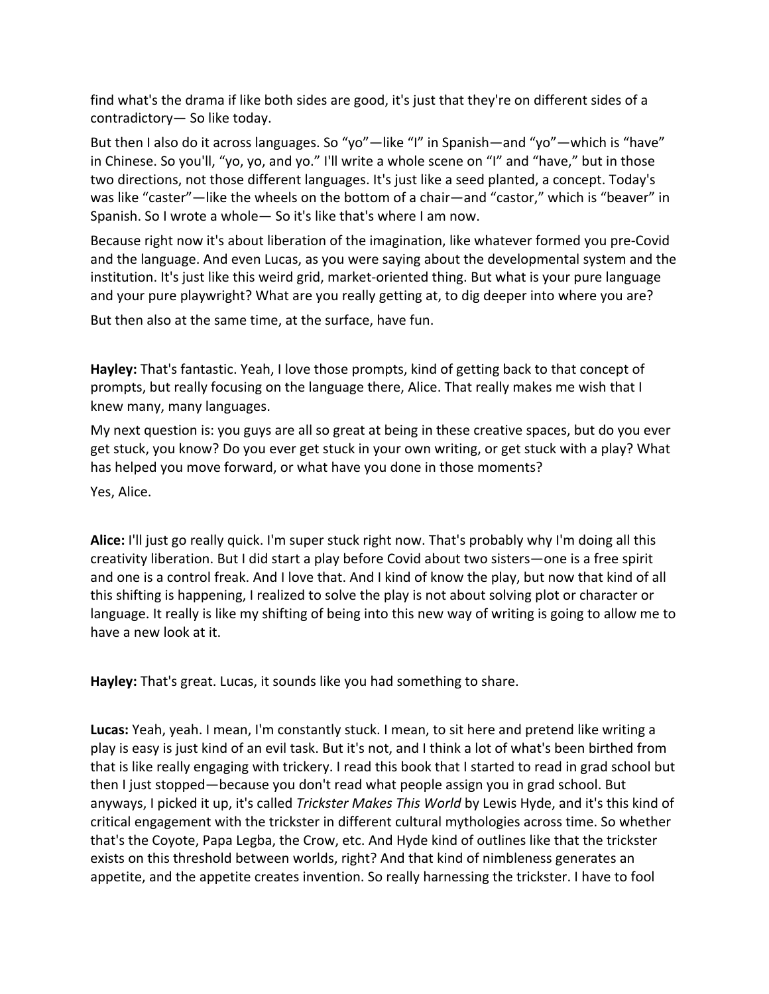find what's the drama if like both sides are good, it's just that they're on different sides of a contradictory— So like today.

But then I also do it across languages. So "yo"—like "I" in Spanish—and "yo"—which is "have" in Chinese. So you'll, "yo, yo, and yo." I'll write a whole scene on "I" and "have," but in those two directions, not those different languages. It's just like a seed planted, a concept. Today's was like "caster"—like the wheels on the bottom of a chair—and "castor," which is "beaver" in Spanish. So I wrote a whole— So it's like that's where I am now.

Because right now it's about liberation of the imagination, like whatever formed you pre-Covid and the language. And even Lucas, as you were saying about the developmental system and the institution. It's just like this weird grid, market-oriented thing. But what is your pure language and your pure playwright? What are you really getting at, to dig deeper into where you are?

But then also at the same time, at the surface, have fun.

**Hayley:** That's fantastic. Yeah, I love those prompts, kind of getting back to that concept of prompts, but really focusing on the language there, Alice. That really makes me wish that I knew many, many languages.

My next question is: you guys are all so great at being in these creative spaces, but do you ever get stuck, you know? Do you ever get stuck in your own writing, or get stuck with a play? What has helped you move forward, or what have you done in those moments?

Yes, Alice.

**Alice:** I'll just go really quick. I'm super stuck right now. That's probably why I'm doing all this creativity liberation. But I did start a play before Covid about two sisters—one is a free spirit and one is a control freak. And I love that. And I kind of know the play, but now that kind of all this shifting is happening, I realized to solve the play is not about solving plot or character or language. It really is like my shifting of being into this new way of writing is going to allow me to have a new look at it.

**Hayley:** That's great. Lucas, it sounds like you had something to share.

**Lucas:** Yeah, yeah. I mean, I'm constantly stuck. I mean, to sit here and pretend like writing a play is easy is just kind of an evil task. But it's not, and I think a lot of what's been birthed from that is like really engaging with trickery. I read this book that I started to read in grad school but then I just stopped—because you don't read what people assign you in grad school. But anyways, I picked it up, it's called *Trickster Makes This World* by Lewis Hyde, and it's this kind of critical engagement with the trickster in different cultural mythologies across time. So whether that's the Coyote, Papa Legba, the Crow, etc. And Hyde kind of outlines like that the trickster exists on this threshold between worlds, right? And that kind of nimbleness generates an appetite, and the appetite creates invention. So really harnessing the trickster. I have to fool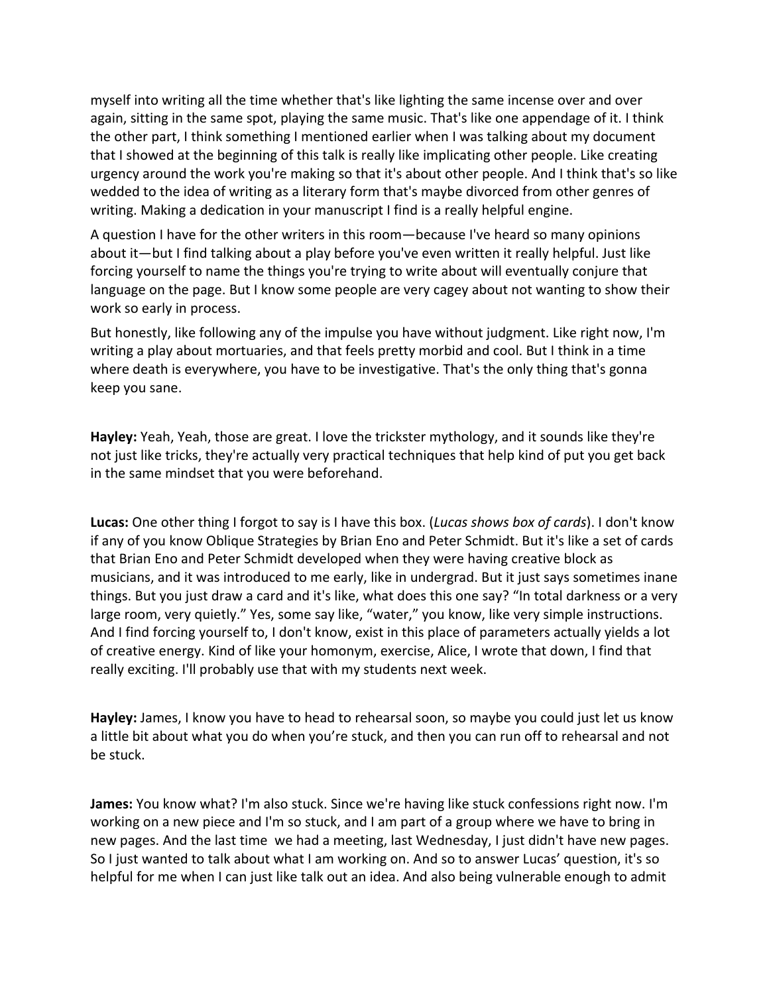myself into writing all the time whether that's like lighting the same incense over and over again, sitting in the same spot, playing the same music. That's like one appendage of it. I think the other part, I think something I mentioned earlier when I was talking about my document that I showed at the beginning of this talk is really like implicating other people. Like creating urgency around the work you're making so that it's about other people. And I think that's so like wedded to the idea of writing as a literary form that's maybe divorced from other genres of writing. Making a dedication in your manuscript I find is a really helpful engine.

A question I have for the other writers in this room—because I've heard so many opinions about it—but I find talking about a play before you've even written it really helpful. Just like forcing yourself to name the things you're trying to write about will eventually conjure that language on the page. But I know some people are very cagey about not wanting to show their work so early in process.

But honestly, like following any of the impulse you have without judgment. Like right now, I'm writing a play about mortuaries, and that feels pretty morbid and cool. But I think in a time where death is everywhere, you have to be investigative. That's the only thing that's gonna keep you sane.

**Hayley:** Yeah, Yeah, those are great. I love the trickster mythology, and it sounds like they're not just like tricks, they're actually very practical techniques that help kind of put you get back in the same mindset that you were beforehand.

**Lucas:** One other thing I forgot to say is I have this box. (*Lucas shows box of cards*). I don't know if any of you know Oblique Strategies by Brian Eno and Peter Schmidt. But it's like a set of cards that Brian Eno and Peter Schmidt developed when they were having creative block as musicians, and it was introduced to me early, like in undergrad. But it just says sometimes inane things. But you just draw a card and it's like, what does this one say? "In total darkness or a very large room, very quietly." Yes, some say like, "water," you know, like very simple instructions. And I find forcing yourself to, I don't know, exist in this place of parameters actually yields a lot of creative energy. Kind of like your homonym, exercise, Alice, I wrote that down, I find that really exciting. I'll probably use that with my students next week.

**Hayley:** James, I know you have to head to rehearsal soon, so maybe you could just let us know a little bit about what you do when you're stuck, and then you can run off to rehearsal and not be stuck.

**James:** You know what? I'm also stuck. Since we're having like stuck confessions right now. I'm working on a new piece and I'm so stuck, and I am part of a group where we have to bring in new pages. And the last time we had a meeting, last Wednesday, I just didn't have new pages. So I just wanted to talk about what I am working on. And so to answer Lucas' question, it's so helpful for me when I can just like talk out an idea. And also being vulnerable enough to admit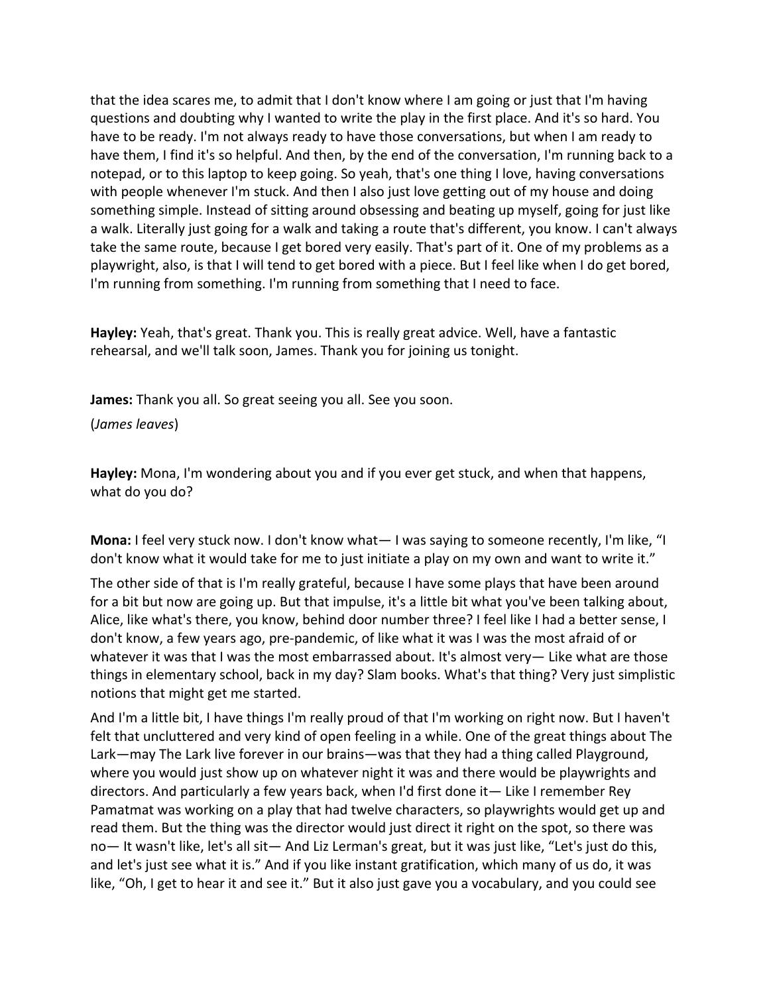that the idea scares me, to admit that I don't know where I am going or just that I'm having questions and doubting why I wanted to write the play in the first place. And it's so hard. You have to be ready. I'm not always ready to have those conversations, but when I am ready to have them, I find it's so helpful. And then, by the end of the conversation, I'm running back to a notepad, or to this laptop to keep going. So yeah, that's one thing I love, having conversations with people whenever I'm stuck. And then I also just love getting out of my house and doing something simple. Instead of sitting around obsessing and beating up myself, going for just like a walk. Literally just going for a walk and taking a route that's different, you know. I can't always take the same route, because I get bored very easily. That's part of it. One of my problems as a playwright, also, is that I will tend to get bored with a piece. But I feel like when I do get bored, I'm running from something. I'm running from something that I need to face.

**Hayley:** Yeah, that's great. Thank you. This is really great advice. Well, have a fantastic rehearsal, and we'll talk soon, James. Thank you for joining us tonight.

**James:** Thank you all. So great seeing you all. See you soon.

(*James leaves*)

**Hayley:** Mona, I'm wondering about you and if you ever get stuck, and when that happens, what do you do?

**Mona:** I feel very stuck now. I don't know what— I was saying to someone recently, I'm like, "I don't know what it would take for me to just initiate a play on my own and want to write it."

The other side of that is I'm really grateful, because I have some plays that have been around for a bit but now are going up. But that impulse, it's a little bit what you've been talking about, Alice, like what's there, you know, behind door number three? I feel like I had a better sense, I don't know, a few years ago, pre-pandemic, of like what it was I was the most afraid of or whatever it was that I was the most embarrassed about. It's almost very— Like what are those things in elementary school, back in my day? Slam books. What's that thing? Very just simplistic notions that might get me started.

And I'm a little bit, I have things I'm really proud of that I'm working on right now. But I haven't felt that uncluttered and very kind of open feeling in a while. One of the great things about The Lark—may The Lark live forever in our brains—was that they had a thing called Playground, where you would just show up on whatever night it was and there would be playwrights and directors. And particularly a few years back, when I'd first done it— Like I remember Rey Pamatmat was working on a play that had twelve characters, so playwrights would get up and read them. But the thing was the director would just direct it right on the spot, so there was no— It wasn't like, let's all sit— And Liz Lerman's great, but it was just like, "Let's just do this, and let's just see what it is." And if you like instant gratification, which many of us do, it was like, "Oh, I get to hear it and see it." But it also just gave you a vocabulary, and you could see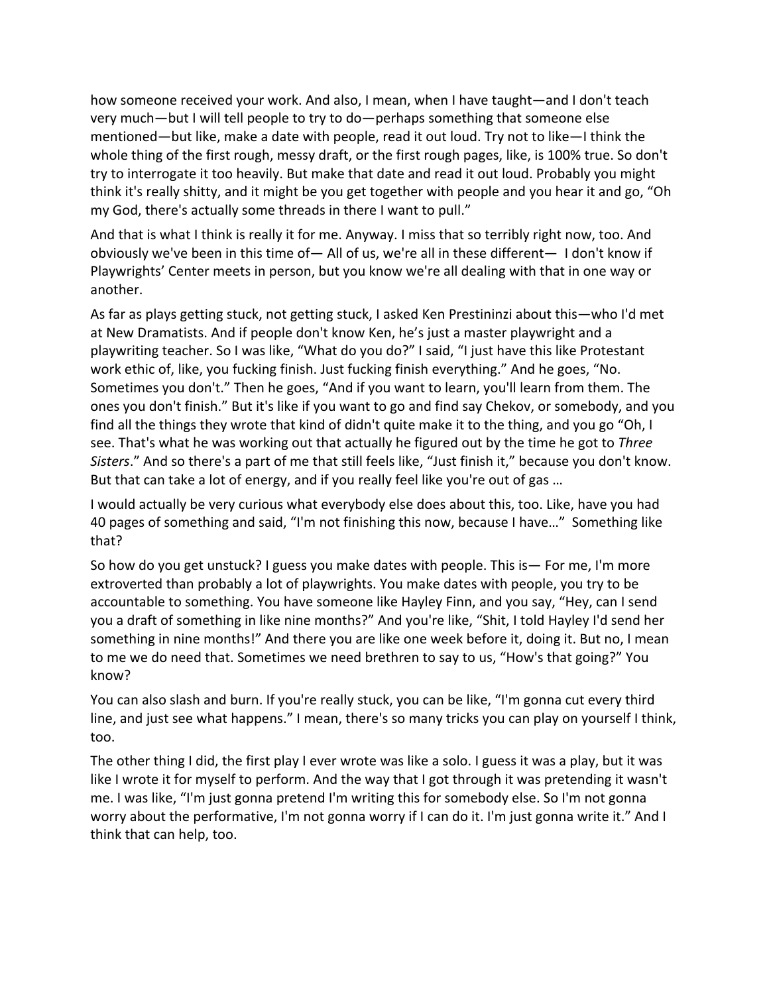how someone received your work. And also, I mean, when I have taught—and I don't teach very much—but I will tell people to try to do—perhaps something that someone else mentioned—but like, make a date with people, read it out loud. Try not to like—I think the whole thing of the first rough, messy draft, or the first rough pages, like, is 100% true. So don't try to interrogate it too heavily. But make that date and read it out loud. Probably you might think it's really shitty, and it might be you get together with people and you hear it and go, "Oh my God, there's actually some threads in there I want to pull."

And that is what I think is really it for me. Anyway. I miss that so terribly right now, too. And obviously we've been in this time of— All of us, we're all in these different— I don't know if Playwrights' Center meets in person, but you know we're all dealing with that in one way or another.

As far as plays getting stuck, not getting stuck, I asked Ken Prestininzi about this—who I'd met at New Dramatists. And if people don't know Ken, he's just a master playwright and a playwriting teacher. So I was like, "What do you do?" I said, "I just have this like Protestant work ethic of, like, you fucking finish. Just fucking finish everything." And he goes, "No. Sometimes you don't." Then he goes, "And if you want to learn, you'll learn from them. The ones you don't finish." But it's like if you want to go and find say Chekov, or somebody, and you find all the things they wrote that kind of didn't quite make it to the thing, and you go "Oh, I see. That's what he was working out that actually he figured out by the time he got to *Three Sisters*." And so there's a part of me that still feels like, "Just finish it," because you don't know. But that can take a lot of energy, and if you really feel like you're out of gas …

I would actually be very curious what everybody else does about this, too. Like, have you had 40 pages of something and said, "I'm not finishing this now, because I have…" Something like that?

So how do you get unstuck? I guess you make dates with people. This is— For me, I'm more extroverted than probably a lot of playwrights. You make dates with people, you try to be accountable to something. You have someone like Hayley Finn, and you say, "Hey, can I send you a draft of something in like nine months?" And you're like, "Shit, I told Hayley I'd send her something in nine months!" And there you are like one week before it, doing it. But no, I mean to me we do need that. Sometimes we need brethren to say to us, "How's that going?" You know?

You can also slash and burn. If you're really stuck, you can be like, "I'm gonna cut every third line, and just see what happens." I mean, there's so many tricks you can play on yourself I think, too.

The other thing I did, the first play I ever wrote was like a solo. I guess it was a play, but it was like I wrote it for myself to perform. And the way that I got through it was pretending it wasn't me. I was like, "I'm just gonna pretend I'm writing this for somebody else. So I'm not gonna worry about the performative, I'm not gonna worry if I can do it. I'm just gonna write it." And I think that can help, too.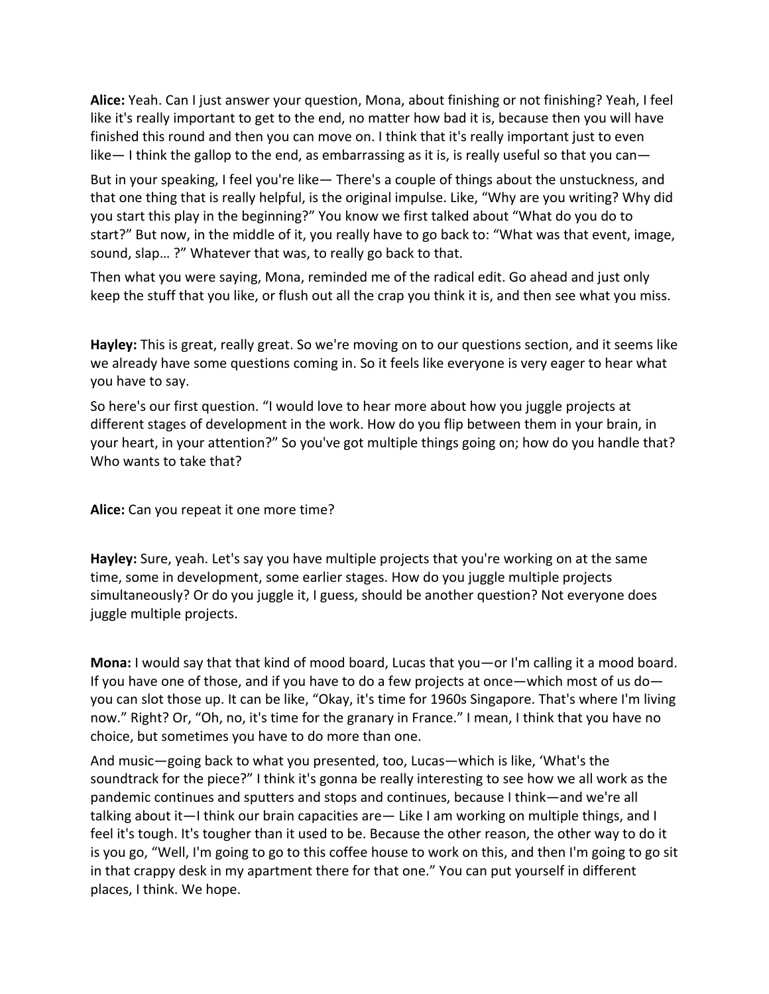**Alice:** Yeah. Can I just answer your question, Mona, about finishing or not finishing? Yeah, I feel like it's really important to get to the end, no matter how bad it is, because then you will have finished this round and then you can move on. I think that it's really important just to even like— I think the gallop to the end, as embarrassing as it is, is really useful so that you can—

But in your speaking, I feel you're like— There's a couple of things about the unstuckness, and that one thing that is really helpful, is the original impulse. Like, "Why are you writing? Why did you start this play in the beginning?" You know we first talked about "What do you do to start?" But now, in the middle of it, you really have to go back to: "What was that event, image, sound, slap… ?" Whatever that was, to really go back to that.

Then what you were saying, Mona, reminded me of the radical edit. Go ahead and just only keep the stuff that you like, or flush out all the crap you think it is, and then see what you miss.

**Hayley:** This is great, really great. So we're moving on to our questions section, and it seems like we already have some questions coming in. So it feels like everyone is very eager to hear what you have to say.

So here's our first question. "I would love to hear more about how you juggle projects at different stages of development in the work. How do you flip between them in your brain, in your heart, in your attention?" So you've got multiple things going on; how do you handle that? Who wants to take that?

**Alice:** Can you repeat it one more time?

**Hayley:** Sure, yeah. Let's say you have multiple projects that you're working on at the same time, some in development, some earlier stages. How do you juggle multiple projects simultaneously? Or do you juggle it, I guess, should be another question? Not everyone does juggle multiple projects.

**Mona:** I would say that that kind of mood board, Lucas that you—or I'm calling it a mood board. If you have one of those, and if you have to do a few projects at once—which most of us do you can slot those up. It can be like, "Okay, it's time for 1960s Singapore. That's where I'm living now." Right? Or, "Oh, no, it's time for the granary in France." I mean, I think that you have no choice, but sometimes you have to do more than one.

And music—going back to what you presented, too, Lucas—which is like, 'What's the soundtrack for the piece?" I think it's gonna be really interesting to see how we all work as the pandemic continues and sputters and stops and continues, because I think—and we're all talking about it—I think our brain capacities are— Like I am working on multiple things, and I feel it's tough. It's tougher than it used to be. Because the other reason, the other way to do it is you go, "Well, I'm going to go to this coffee house to work on this, and then I'm going to go sit in that crappy desk in my apartment there for that one." You can put yourself in different places, I think. We hope.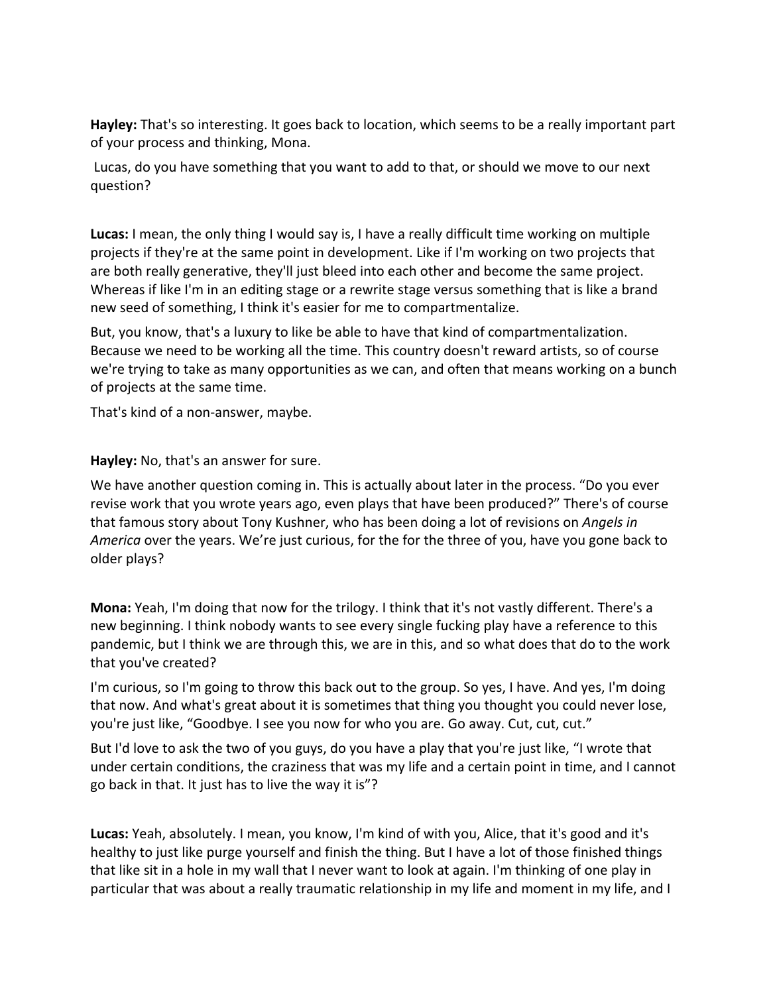**Hayley:** That's so interesting. It goes back to location, which seems to be a really important part of your process and thinking, Mona.

Lucas, do you have something that you want to add to that, or should we move to our next question?

**Lucas:** I mean, the only thing I would say is, I have a really difficult time working on multiple projects if they're at the same point in development. Like if I'm working on two projects that are both really generative, they'll just bleed into each other and become the same project. Whereas if like I'm in an editing stage or a rewrite stage versus something that is like a brand new seed of something, I think it's easier for me to compartmentalize.

But, you know, that's a luxury to like be able to have that kind of compartmentalization. Because we need to be working all the time. This country doesn't reward artists, so of course we're trying to take as many opportunities as we can, and often that means working on a bunch of projects at the same time.

That's kind of a non-answer, maybe.

**Hayley:** No, that's an answer for sure.

We have another question coming in. This is actually about later in the process. "Do you ever revise work that you wrote years ago, even plays that have been produced?" There's of course that famous story about Tony Kushner, who has been doing a lot of revisions on *Angels in America* over the years. We're just curious, for the for the three of you, have you gone back to older plays?

**Mona:** Yeah, I'm doing that now for the trilogy. I think that it's not vastly different. There's a new beginning. I think nobody wants to see every single fucking play have a reference to this pandemic, but I think we are through this, we are in this, and so what does that do to the work that you've created?

I'm curious, so I'm going to throw this back out to the group. So yes, I have. And yes, I'm doing that now. And what's great about it is sometimes that thing you thought you could never lose, you're just like, "Goodbye. I see you now for who you are. Go away. Cut, cut, cut."

But I'd love to ask the two of you guys, do you have a play that you're just like, "I wrote that under certain conditions, the craziness that was my life and a certain point in time, and I cannot go back in that. It just has to live the way it is"?

**Lucas:** Yeah, absolutely. I mean, you know, I'm kind of with you, Alice, that it's good and it's healthy to just like purge yourself and finish the thing. But I have a lot of those finished things that like sit in a hole in my wall that I never want to look at again. I'm thinking of one play in particular that was about a really traumatic relationship in my life and moment in my life, and I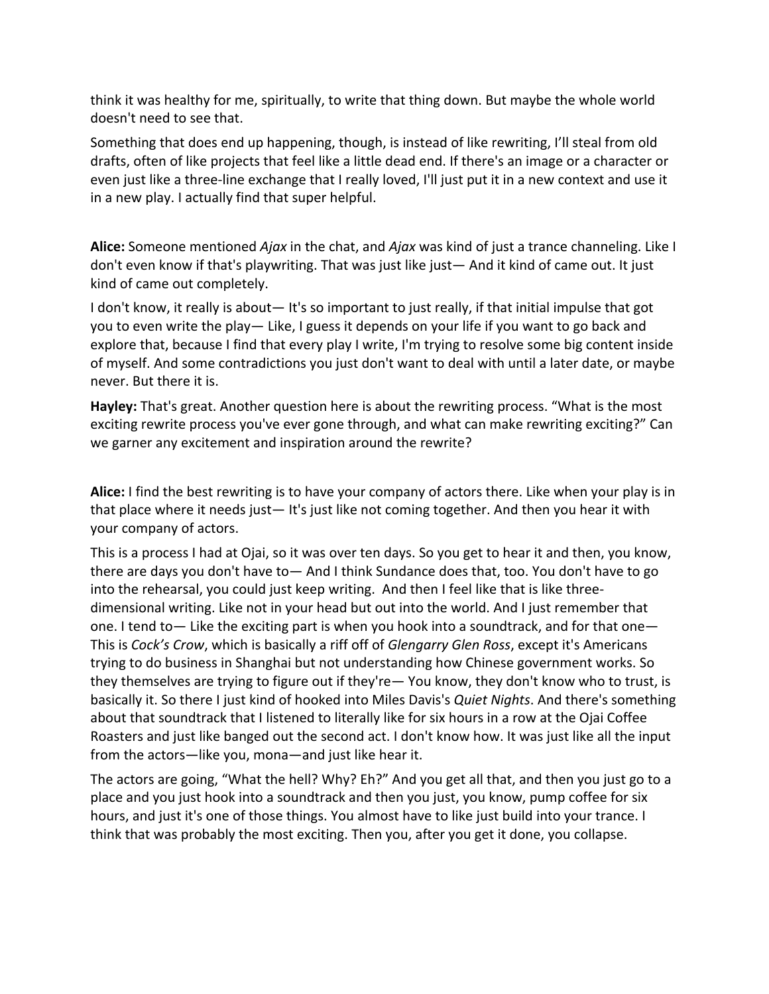think it was healthy for me, spiritually, to write that thing down. But maybe the whole world doesn't need to see that.

Something that does end up happening, though, is instead of like rewriting, I'll steal from old drafts, often of like projects that feel like a little dead end. If there's an image or a character or even just like a three-line exchange that I really loved, I'll just put it in a new context and use it in a new play. I actually find that super helpful.

**Alice:** Someone mentioned *Ajax* in the chat, and *Ajax* was kind of just a trance channeling. Like I don't even know if that's playwriting. That was just like just— And it kind of came out. It just kind of came out completely.

I don't know, it really is about— It's so important to just really, if that initial impulse that got you to even write the play— Like, I guess it depends on your life if you want to go back and explore that, because I find that every play I write, I'm trying to resolve some big content inside of myself. And some contradictions you just don't want to deal with until a later date, or maybe never. But there it is.

**Hayley:** That's great. Another question here is about the rewriting process. "What is the most exciting rewrite process you've ever gone through, and what can make rewriting exciting?" Can we garner any excitement and inspiration around the rewrite?

**Alice:** I find the best rewriting is to have your company of actors there. Like when your play is in that place where it needs just— It's just like not coming together. And then you hear it with your company of actors.

This is a process I had at Ojai, so it was over ten days. So you get to hear it and then, you know, there are days you don't have to— And I think Sundance does that, too. You don't have to go into the rehearsal, you could just keep writing. And then I feel like that is like threedimensional writing. Like not in your head but out into the world. And I just remember that one. I tend to— Like the exciting part is when you hook into a soundtrack, and for that one— This is *Cock's Crow*, which is basically a riff off of *Glengarry Glen Ross*, except it's Americans trying to do business in Shanghai but not understanding how Chinese government works. So they themselves are trying to figure out if they're— You know, they don't know who to trust, is basically it. So there I just kind of hooked into Miles Davis's *Quiet Nights*. And there's something about that soundtrack that I listened to literally like for six hours in a row at the Ojai Coffee Roasters and just like banged out the second act. I don't know how. It was just like all the input from the actors—like you, mona—and just like hear it.

The actors are going, "What the hell? Why? Eh?" And you get all that, and then you just go to a place and you just hook into a soundtrack and then you just, you know, pump coffee for six hours, and just it's one of those things. You almost have to like just build into your trance. I think that was probably the most exciting. Then you, after you get it done, you collapse.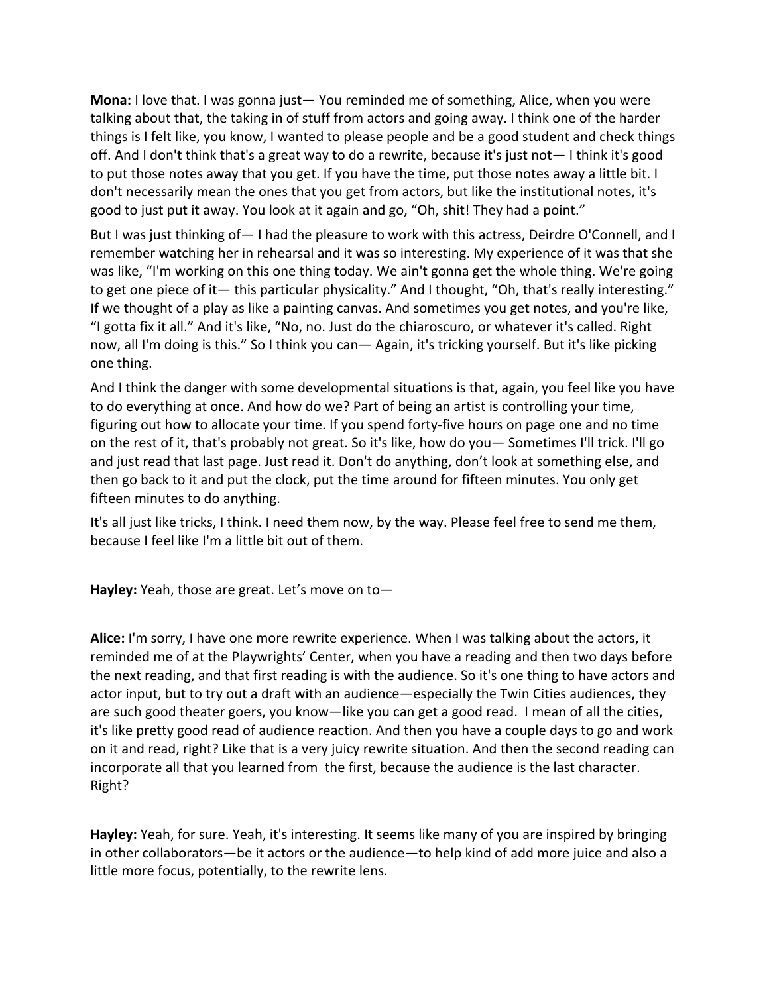**Mona:** I love that. I was gonna just— You reminded me of something, Alice, when you were talking about that, the taking in of stuff from actors and going away. I think one of the harder things is I felt like, you know, I wanted to please people and be a good student and check things off. And I don't think that's a great way to do a rewrite, because it's just not— I think it's good to put those notes away that you get. If you have the time, put those notes away a little bit. I don't necessarily mean the ones that you get from actors, but like the institutional notes, it's good to just put it away. You look at it again and go, "Oh, shit! They had a point."

But I was just thinking of— I had the pleasure to work with this actress, Deirdre O'Connell, and I remember watching her in rehearsal and it was so interesting. My experience of it was that she was like, "I'm working on this one thing today. We ain't gonna get the whole thing. We're going to get one piece of it— this particular physicality." And I thought, "Oh, that's really interesting." If we thought of a play as like a painting canvas. And sometimes you get notes, and you're like, "I gotta fix it all." And it's like, "No, no. Just do the chiaroscuro, or whatever it's called. Right now, all I'm doing is this." So I think you can— Again, it's tricking yourself. But it's like picking one thing.

And I think the danger with some developmental situations is that, again, you feel like you have to do everything at once. And how do we? Part of being an artist is controlling your time, figuring out how to allocate your time. If you spend forty-five hours on page one and no time on the rest of it, that's probably not great. So it's like, how do you— Sometimes I'll trick. I'll go and just read that last page. Just read it. Don't do anything, don't look at something else, and then go back to it and put the clock, put the time around for fifteen minutes. You only get fifteen minutes to do anything.

It's all just like tricks, I think. I need them now, by the way. Please feel free to send me them, because I feel like I'm a little bit out of them.

**Hayley:** Yeah, those are great. Let's move on to—

**Alice:** I'm sorry, I have one more rewrite experience. When I was talking about the actors, it reminded me of at the Playwrights' Center, when you have a reading and then two days before the next reading, and that first reading is with the audience. So it's one thing to have actors and actor input, but to try out a draft with an audience—especially the Twin Cities audiences, they are such good theater goers, you know—like you can get a good read. I mean of all the cities, it's like pretty good read of audience reaction. And then you have a couple days to go and work on it and read, right? Like that is a very juicy rewrite situation. And then the second reading can incorporate all that you learned from the first, because the audience is the last character. Right?

**Hayley:** Yeah, for sure. Yeah, it's interesting. It seems like many of you are inspired by bringing in other collaborators—be it actors or the audience—to help kind of add more juice and also a little more focus, potentially, to the rewrite lens.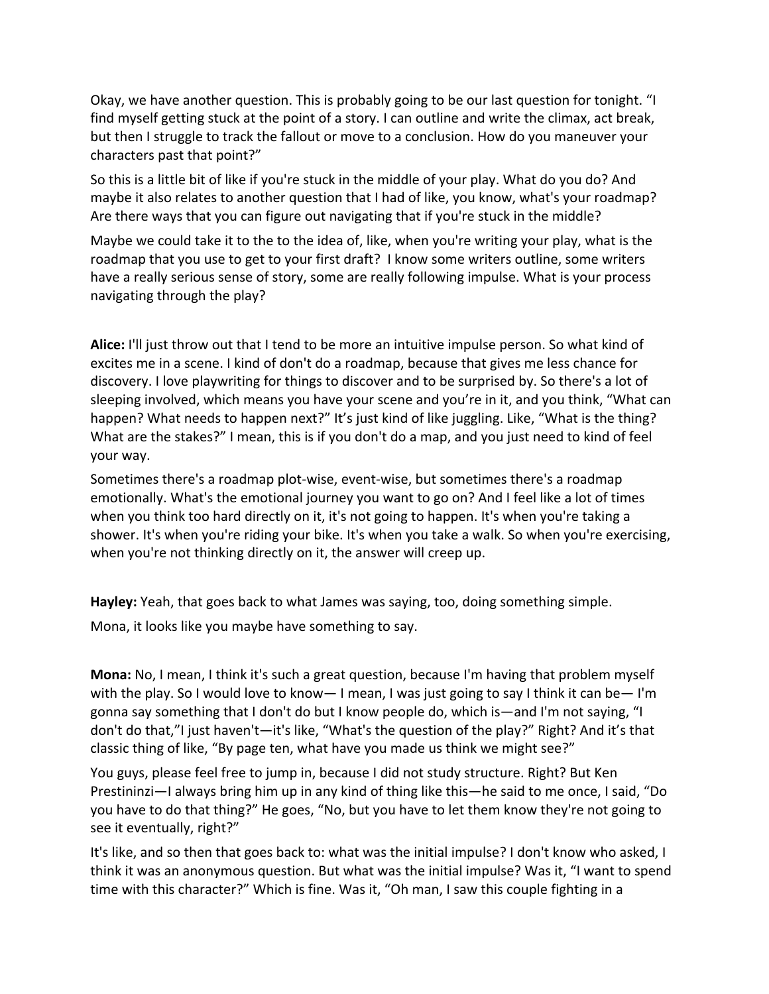Okay, we have another question. This is probably going to be our last question for tonight. "I find myself getting stuck at the point of a story. I can outline and write the climax, act break, but then I struggle to track the fallout or move to a conclusion. How do you maneuver your characters past that point?"

So this is a little bit of like if you're stuck in the middle of your play. What do you do? And maybe it also relates to another question that I had of like, you know, what's your roadmap? Are there ways that you can figure out navigating that if you're stuck in the middle?

Maybe we could take it to the to the idea of, like, when you're writing your play, what is the roadmap that you use to get to your first draft? I know some writers outline, some writers have a really serious sense of story, some are really following impulse. What is your process navigating through the play?

**Alice:** I'll just throw out that I tend to be more an intuitive impulse person. So what kind of excites me in a scene. I kind of don't do a roadmap, because that gives me less chance for discovery. I love playwriting for things to discover and to be surprised by. So there's a lot of sleeping involved, which means you have your scene and you're in it, and you think, "What can happen? What needs to happen next?" It's just kind of like juggling. Like, "What is the thing? What are the stakes?" I mean, this is if you don't do a map, and you just need to kind of feel your way.

Sometimes there's a roadmap plot-wise, event-wise, but sometimes there's a roadmap emotionally. What's the emotional journey you want to go on? And I feel like a lot of times when you think too hard directly on it, it's not going to happen. It's when you're taking a shower. It's when you're riding your bike. It's when you take a walk. So when you're exercising, when you're not thinking directly on it, the answer will creep up.

**Hayley:** Yeah, that goes back to what James was saying, too, doing something simple.

Mona, it looks like you maybe have something to say.

**Mona:** No, I mean, I think it's such a great question, because I'm having that problem myself with the play. So I would love to know— I mean, I was just going to say I think it can be— I'm gonna say something that I don't do but I know people do, which is—and I'm not saying, "I don't do that,"I just haven't—it's like, "What's the question of the play?" Right? And it's that classic thing of like, "By page ten, what have you made us think we might see?"

You guys, please feel free to jump in, because I did not study structure. Right? But Ken Prestininzi—I always bring him up in any kind of thing like this—he said to me once, I said, "Do you have to do that thing?" He goes, "No, but you have to let them know they're not going to see it eventually, right?"

It's like, and so then that goes back to: what was the initial impulse? I don't know who asked, I think it was an anonymous question. But what was the initial impulse? Was it, "I want to spend time with this character?" Which is fine. Was it, "Oh man, I saw this couple fighting in a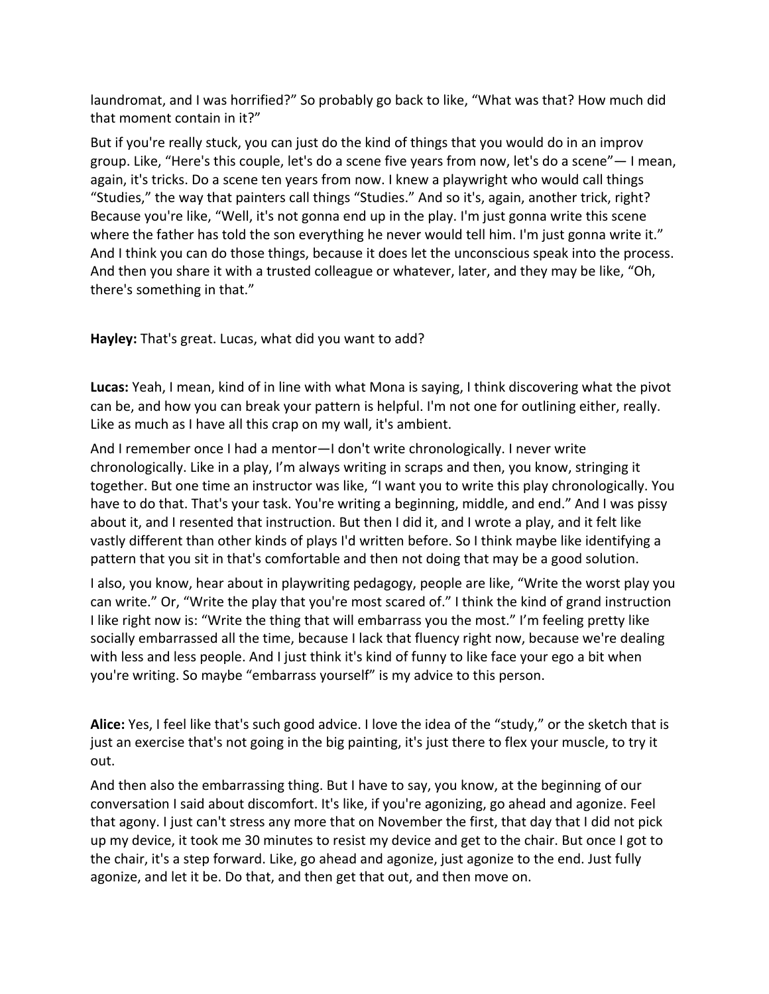laundromat, and I was horrified?" So probably go back to like, "What was that? How much did that moment contain in it?"

But if you're really stuck, you can just do the kind of things that you would do in an improv group. Like, "Here's this couple, let's do a scene five years from now, let's do a scene"— I mean, again, it's tricks. Do a scene ten years from now. I knew a playwright who would call things "Studies," the way that painters call things "Studies." And so it's, again, another trick, right? Because you're like, "Well, it's not gonna end up in the play. I'm just gonna write this scene where the father has told the son everything he never would tell him. I'm just gonna write it." And I think you can do those things, because it does let the unconscious speak into the process. And then you share it with a trusted colleague or whatever, later, and they may be like, "Oh, there's something in that."

**Hayley:** That's great. Lucas, what did you want to add?

**Lucas:** Yeah, I mean, kind of in line with what Mona is saying, I think discovering what the pivot can be, and how you can break your pattern is helpful. I'm not one for outlining either, really. Like as much as I have all this crap on my wall, it's ambient.

And I remember once I had a mentor—I don't write chronologically. I never write chronologically. Like in a play, I'm always writing in scraps and then, you know, stringing it together. But one time an instructor was like, "I want you to write this play chronologically. You have to do that. That's your task. You're writing a beginning, middle, and end." And I was pissy about it, and I resented that instruction. But then I did it, and I wrote a play, and it felt like vastly different than other kinds of plays I'd written before. So I think maybe like identifying a pattern that you sit in that's comfortable and then not doing that may be a good solution.

I also, you know, hear about in playwriting pedagogy, people are like, "Write the worst play you can write." Or, "Write the play that you're most scared of." I think the kind of grand instruction I like right now is: "Write the thing that will embarrass you the most." I'm feeling pretty like socially embarrassed all the time, because I lack that fluency right now, because we're dealing with less and less people. And I just think it's kind of funny to like face your ego a bit when you're writing. So maybe "embarrass yourself" is my advice to this person.

**Alice:** Yes, I feel like that's such good advice. I love the idea of the "study," or the sketch that is just an exercise that's not going in the big painting, it's just there to flex your muscle, to try it out.

And then also the embarrassing thing. But I have to say, you know, at the beginning of our conversation I said about discomfort. It's like, if you're agonizing, go ahead and agonize. Feel that agony. I just can't stress any more that on November the first, that day that I did not pick up my device, it took me 30 minutes to resist my device and get to the chair. But once I got to the chair, it's a step forward. Like, go ahead and agonize, just agonize to the end. Just fully agonize, and let it be. Do that, and then get that out, and then move on.